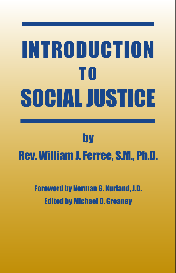# Introduction T O Social Justice

# by

# Rev. William J. Ferree, S.M., Ph.D.

# Foreword by Norman G. Kurland, J.D. Edited by Michael D. Greaney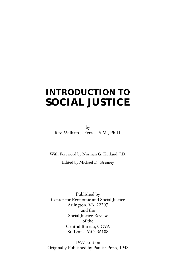# **INTRODUCTION TO SOCIAL JUSTICE**

by Rev. William J. Ferree, S.M., Ph.D.

With Foreword by Norman G. Kurland, J.D. Edited by Michael D. Greaney

Published by Center for Economic and Social Justice Arlington, VA 22207 and the Social Justice Review of the Central Bureau, CCVA St. Louis, MO 36108

1997 Edition Originally Published by Paulist Press, 1948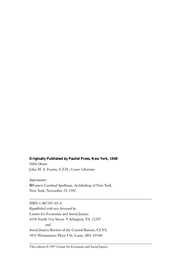#### **Originally Published by Paulist Press, New York, 1948**

*Nihil Obstat*: John M. A. Fearns, S.T.D., *Censor Librorum*.

*Imprimatur*: ✠ Francis Cardinal Spellman, Archbishop of New York. New York, November 29, 1947.

ISBN 1-887567-05-4 *Republished with new foreword by* Center for Economic and Social Justice 4318 North 31st Street • Arlington, VA 22207 *and* Social Justice Review of the Central Bureau, CCVA␣ 3835 Westminster Place • St. Louis, MO 63108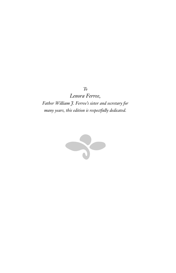*To Lenora Ferree, Father William J. Ferree's sister and secretary for many years, this edition is respectfully dedicated.*

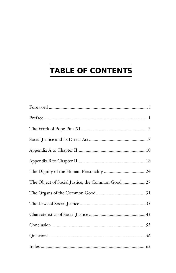# **TABLE OF CONTENTS**

| The Object of Social Justice, the Common Good  27 |  |
|---------------------------------------------------|--|
|                                                   |  |
|                                                   |  |
|                                                   |  |
|                                                   |  |
|                                                   |  |
|                                                   |  |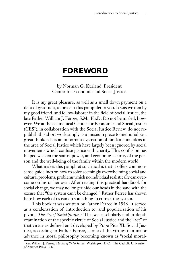## **FOREWORD**

by Norman G. Kurland, President Center for Economic and Social Justice

It is my great pleasure, as well as a small down payment on a debt of gratitude, to present this pamphlet to you. It was written by my good friend, and fellow-laborer in the field of Social Justice, the late Father William J. Ferree, S.M., Ph.D. Do not be misled, however. We at the ecumenical Center for Economic and Social Justice (CESJ), in collaboration with the Social Justice Review, do not republish this short work simply as a museum piece to memorialize a great thinker. It is an important exposition of fundamental ideas in the area of Social Justice which have largely been ignored by social movements which confuse justice with charity. This confusion has helped weaken the status, power, and economic security of the person and the well-being of the family within the modern world.

What makes this pamphlet so critical is that it offers commonsense guidelines on how to solve seemingly overwhelming social and cultural problems, problems which no individual realistically can overcome on his or her own. After reading this practical handbook for social change, we may no longer hide our heads in the sand with the excuse that "the system can't be changed." Father Ferree has shown here how each of us can do something to correct the system.

This booklet was written by Father Ferree in 1948. It served as a condensation of, introduction to, and popularization of his pivotal *The Act of Social Justice*. 1 This was a scholarly and in-depth examination of the specific virtue of Social Justice and the "act" of that virtue as defined and developed by Pope Pius XI. Social Justice, according to Father Ferree, is one of the virtues in a major advance in moral philosophy becoming known as "social moral-

1 Rev. William J. Ferree, *The Act of Social Justice*. Washington, D.C.: The Catholic University of America Press, 1942.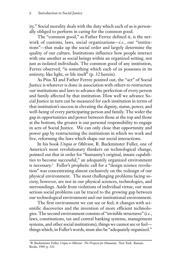ity." Social morality deals with the duty which each of us is personally obliged to perform in caring for the common good.

The "common good," as Father Ferree defined it, is the network of customs, laws, social organizations—*i.e.*, our "institutions"—that make up the social order and largely determine the quality of our culture. Institutions influence how people interact with one another as social beings within an organized setting, not just as isolated individuals. The common good of any institution, Ferree observed, "is something which each of us possesses in its entirety, like light, or life itself" (p. 32 herein).

As Pius XI and Father Ferree pointed out, the "act" of Social Justice is whatever is done in association with others to restructure our institutions and laws to advance the perfection of every person and family affected by that institution. How well we advance Social Justice in turn can be measured for each institution in terms of that institution's success in elevating the dignity, status, power, and well-being of every participating person and family. The wider the gap in opportunities and power between those at the top and those at the bottom, the greater is our personal responsibility to engage in acts of Social Justice. We can only close that opportunity and power gap by restructuring the institutions in which we work and live, reforming the laws which shape our social interactions.

In his book *Utopia or Oblivion*, R. Buckminster Fuller, one of America's most revolutionary thinkers on technological change, pointed out that in order for "humanity's original, innate capabilities to become successful," an adequately organized environment is necessary.<sup>2</sup> Fuller's prophetic call for a "design science revolution" was concentrating almost exclusively on the redesign of our physical environment. The most challenging problems facing society, however, are not in our physical sciences, technologies, and surroundings. Aside from violations of individual virtue, our most serious social problems can be traced to the growing gap between our technological environment and our institutional environment.

The first environment we can see or feel; it changes with scientific discoveries and the invention of more efficient technologies. The second environment consists of "invisible structures" (*i.e.*, laws, constitutions, tax and central banking systems, management systems, and other social institutions), things we cannot see or feel things which, in Fuller's words, must also be "adequately organized."

<sup>2</sup> R. Buckminster Fuller, *Utopia or Oblivion: The Prospects for Humanity*. New York: Bantam Books, 1969, p. 320.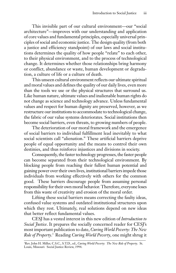This invisible part of our cultural environment—our "social architecture"—improves with our understanding and application of core values and fundamental principles, especially universal principles of social and economic justice. The design quality (from both a justice and efficiency standpoint) of our laws and social institutions determines the quality of how people "relate" to each other, to their physical environment, and to the process of technological change. It determines whether those relationships bring harmony or conflict, abundance or waste, human development or degradation, a culture of life or a culture of death.

This unseen cultural environment reflects our ultimate spiritual and moral values and defines the quality of our daily lives, even more than the tools we use or the physical structures that surround us. Like human nature, ultimate values and inalienable human rights do not change as science and technology advance. Unless fundamental values and respect for human dignity are preserved, however, as we restructure our institutions to accommodate to technological change, the fabric of our value systems deteriorates. Social institutions then become social barriers, even threats, to growing numbers of people.

The deterioration of our moral framework and the emergence of social barriers to individual fulfillment lead inevitably to what social scientists call "alienation." These artificial barriers deprive people of equal opportunity and the means to control their own destinies, and thus reinforce injustices and divisions in society.

Consequently, the faster technology progresses, the faster people can become separated from their technological environment. By blocking people from reaching their fullest human potential and gaining power over their own lives, institutional barriers impede those individuals from working effectively with others for the common good. These barriers discourage people from assuming personal responsibility for their own moral behavior. Therefore, everyone loses from this waste of creativity and erosion of the moral order.

Lifting these social barriers means correcting the faulty ideas, confused value systems and outdated institutional structures upon which they rest. Ultimately, real solutions depend on new ideas that better reflect fundamental values.

CESJ has a vested interest in this new edition of *Introduction to Social Justice*. It prepares the socially concerned reader for CESJ's most important publication to date, *Curing World Poverty: The New Role of Property*. 3 Reading *Curing World Poverty*, one might shrug it

<sup>3</sup>Rev. John H. Miller, C.S.C., S.T.D., ed., *Curing World Poverty: The New Role of Property. S*t.<br>Louis, Missouri: Social Justice Review, 1994.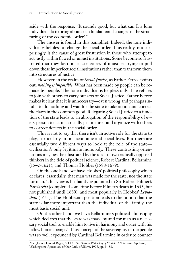aside with the response, "It sounds good, but what can I, a lone individual, do to bring about such fundamental changes in the structuring of the economic order?"

The answer is found in this pamphlet. Indeed, the lone individual *is* helpless to change the social order. This reality, not surprisingly, is the cause of great frustration in those who attempt to act justly within flawed or unjust institutions. Some become so frustrated that they lash out at structures of injustice, trying to pull down these imperfect social institutions rather than transform them into structures of justice.

However, in the realm of *Social Justice*, as Father Ferree points out, *nothing is impossible*. What has been made by people can be remade by people. The lone individual is helpless only if he refuses to join with others to carry out acts of Social Justice. Father Ferree makes it clear that it is unnecessary—even wrong and perhaps sinful—to do nothing and wait for the state to take action and correct the flaws in the common good. Relegating Social Justice to a function of the state leads to an abrogation of the responsibility of every person to act in a socially just manner and organize with others to correct defects in the social order.

This is not to say that there isn't an active role for the state to play, particularly in our economic and social lives. But there are essentially two different ways to look at the role of the state civilization's only legitimate monopoly. These contrasting orientations may best be illustrated by the ideas of two radically opposed thinkers in the field of political science, Robert Cardinal Bellarmine (1542-1621), and Thomas Hobbes (1588-1679).

On the one hand, we have Hobbes' political philosophy which declares, essentially, that man was made for the state, not the state for man. This view is brilliantly expounded in Sir Robert Filmer's *Patriarcha* (completed sometime before Filmer's death in 1653, but not published until 1680), and most popularly in Hobbes' *Leviathan* (1651). The Hobbesian position leads to the notion that the state is far more important than the individual or the family, the most basic social unit.

On the other hand, we have Bellarmine's political philosophy which declares that the state was made by and for man as a necessary social tool to enable him to live in harmony and order with his fellow human beings.4 This concept of the sovereignty of the people was so well expounded by Cardinal Bellarmine in order to counter

<sup>4</sup> See John Clement Rager, S.T.D., *The Political Philosophy of St. Robert Bellarmine*. Spokane, Washington: Apostolate of Our Lady of Siluva, 1995, pp. 84-88.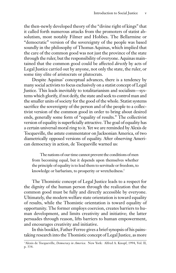the then-newly developed theory of the "divine right of kings" that it called forth numerous attacks from the promoters of statist absolutism, most notably Filmer and Hobbes. The Bellarmine or "democratic" version of the sovereignty of the people was based soundly in the philosophy of Thomas Aquinas, which implied that the care of the common good was not just the province of the state through the ruler, but the responsibility of everyone. Aquinas maintained that the common good could be affected *directly* by acts of Legal Justice carried out by anyone, not only the state, the ruler, or some tiny elite of aristocrats or plutocrats.

Despite Aquinas' conceptual advances, there is a tendency by many social activists to focus exclusively on a statist concept of Legal Justice. This leads inevitably to totalitarianism and socialism—systems which glorify, if not deify, the state and seek to control man and the smaller units of society for the good of the whole. Statist systems sacrifice the sovereignty of the person and of the people to a collectivist version of the common good in order to bring about desired ends, generally some form of "equality of results." The collectivist version of equality is superficially attractive. The goal of equality has a certain universal moral ring to it. Yet we are reminded by Alexis de Tocqueville, the astute commentator on Jacksonian America, of two diametrically opposed versions of equality. After observing American democracy in action, de Tocqueville warned us:

The nations of our time cannot prevent the conditions of men from becoming equal, but it depends upon themselves whether the principle of equality is to lead them to servitude or freedom, to knowledge or barbarism, to prosperity or wretchedness.<sup>5</sup>

The Thomistic concept of Legal Justice leads to a respect for the dignity of the human person through the realization that the common good must be fully and directly accessible by everyone. Ultimately, the modern welfare state orientation is toward equality of results, while the Thomistic orientation is toward equality of opportunity. The former employs coercion, creates barriers to human development, and limits creativity and initiative; the latter persuades through reason, lifts barriers to human empowerment, and encourages creativity and initiative.

In this booklet, Father Ferree gives a brief synopsis of his painstaking research into the Thomistic concept of Legal Justice, as more

<sup>5</sup> Alexis de Tocqueville, *Democracy in America*. New York: Alfred A. Knopf, 1994, Vol. II, p. 334.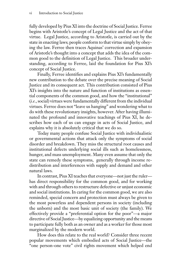fully developed by Pius XI into the doctrine of Social Justice. Ferree begins with Aristotle's concept of Legal Justice and the act of that virtue. Legal Justice, according to Aristotle, is carried out by the state in enacting laws; people conform to that virtue simply by obeying the law. Ferree then traces Aquinas' correction and expansion of Aristotle's thought into a concept that adds the idea of the common good to the definition of Legal Justice. This broader understanding, according to Ferree, laid the foundation for Pius XI's concept of Social Justice.

Finally, Ferree identifies and explains Pius XI's fundamentally new contribution to the debate over the precise meaning of Social Justice and its consequent act. This contribution consisted of Pius XI's insights into the nature and function of institutions as essential components of the common good, and how the "institutional" (*i.e.*, social) virtues were fundamentally different from the individual virtues. Ferree does not "leave us hanging" and wondering what to do with these revolutionary insights, however. After having illuminated the profound and innovative teachings of Pius XI, he describes how each of us can engage in acts of Social Justice, and explains why it is absolutely critical that we do so.

Today many people confuse Social Justice with individualistic or governmental actions that attack only the symptoms of social disorder and breakdown. They miss the structural root causes and institutional defects underlying social ills such as homelessness, hunger, and mass unemployment. Many even assume that only the state can remedy these symptoms, generally through income redistribution and interferences with supply and demand and other natural laws.

In contrast, Pius XI teaches that everyone—not just the ruler has direct responsibility for the common good, and for working with and through others to restructure defective or unjust economic and social institutions. In caring for the common good, we are also reminded, special concern and protection must always be given to the most powerless and dependent persons in society (including the unborn) and the most basic unit of society (the family). We effectively provide a "preferential option for the poor"—a major directive of Social Justice—by equalizing opportunity and the means to participate fully both as an owner and as a worker for those most marginalized by the modern world.

How does this relate to the real world? Consider three recent popular movements which embodied acts of Social Justice—the "one person-one vote" civil rights movement which helped end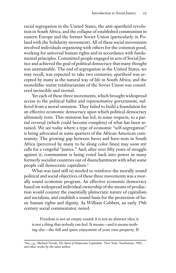racial segregation in the United States, the anti-apartheid revolution in South Africa, and the collapse of established communism in eastern Europe and the former Soviet Union (particularly in Poland with the Solidarity movement). All of these social movements involved individuals organizing with others for the common good, working for universal human rights and in accordance with fundamental principles. Committed people engaged in acts of Social Justice and achieved the goal of political democracy that many thought was unattainable. The end of segregation in the United States, we may recall, was expected to take two centuries; apartheid was accepted by many as the natural way of life in South Africa; and the monolithic statist totalitarianism of the Soviet Union was considered invincible and eternal.

Yet each of these three movements, which brought widespread access to the political ballot and representative government, suffered from a moral omission. They failed to build a foundation for an effective economic democracy upon which political democracy ultimately rests. This omission has led, in some respects, to a partial reversal (which could become complete) of what has been attained. We see today where a type of economic "self-segregation" is being advocated in some quarters of the African American community. The growing gap between haves and have-nots in South Africa (perceived by many to be along color lines) may soon stir calls for a vengeful "justice." And, after over fifty years of struggle against it, communism is being voted back into power in many formerly socialist countries out of disenchantment with what some people call democratic capitalism.6

What was (and still is) needed to reinforce the morally sound political and social objectives of these three movements was a morally sound economic program. An effective economic democracy based on widespread individual ownership of the means of production would counter the essentially plutocratic nature of capitalism and socialism, and establish a sound basis for the protection of basic human rights and dignity. As William Cobbett, an early 19th century social commentator, noted:

Freedom is not an empty sound; it is not an abstract idea; it is not a thing that nobody can feel. It means—and it means nothing else—the full and quiet enjoyment of your own property. If

6 See, *e.g.*, Michael Novak, *The Spirit of Democratic Capitalism*. New York: Touchstone, 1982, and other works by the same author.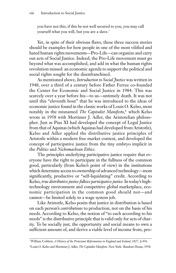you have not this, if this be not well secured to you, you may call yourself what you will, but you are a slave.7

Yet, in spite of their obvious flaws, these three success stories should be examples for how people in one of the most vilified and hated human rights movements—Pro-Life—can organize and carry out acts of Social Justice. Indeed, the Pro-Life movement must go beyond what was accomplished, and add in what the human rights revolution missed: an economic agenda to support the political and social rights sought for the disenfranchised.

As mentioned above, *Introduction to Social Justice* was written in 1948, over a third of a century before Father Ferree co-founded the Center for Economic and Social Justice in 1984. This was scarcely over a year before his—to us—untimely death. It was not until this "eleventh hour" that he was introduced to the ideas of economic justice found in the classic works of Louis O. Kelso, most notably in the misnamed *The Capitalist Manifesto*, 8 which Kelso wrote in 1958 with Mortimer J. Adler, the Aristotelian philosopher. Just as Pius XI had developed the concept of Legal Justice from that of Aquinas (which Aquinas had developed from Aristotle), Kelso and Adler applied the distributive justice principles of Aristotle within a modern free market context, and developed the concept of participative justice from the tiny embryo implicit in the *Politics* and *Nichomachean Ethics*.

The principles underlying participative justice require that everyone have the right to participate in the fullness of the common good, particularly (from Kelso's point of view) in the institutions which determine access to ownership of advanced technology—most significantly, productive or "self-liquidating" credit. According to Kelso, *true distributive justice follows participative justice*. In today's hightechnology environment and competitive global marketplace, economic participation in the common good should not—and cannot—be limited solely to a wage system job.

Like Aristotle, Kelso posits that justice in distribution is based on each person's *contributions* to production, not on the basis of his needs. According to Kelso, the notion of "to each according to his needs" is the distributive principle that is valid only for acts of charity. To be socially just, the opportunity and social means to own a sufficient amount of, and derive a viable level of income from, pro-

<sup>7</sup> William Cobbett, *A History of the Protestant Reformation in England and Ireland*, 1827, § 456.

<sup>8</sup> Louis O. Kelso and Mortimer J. Adler, *The Capitalist Manifesto*. New York: Random House, 1958.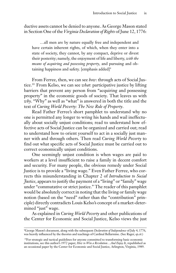ductive assets cannot be denied to anyone. As George Mason stated in Section One of the *Virginia Declaration of Rights* of June 12, 1776:

…all men are by nature equally free and independent and have certain inherent rights, of which, when they enter into a state of society, they cannot, by any compact, deprive or divest their posterity; namely, the enjoyment of life and liberty, *with the means of acquiring and possessing property*, and pursuing and obtaining happiness and safety. [emphasis added]<sup>9</sup>

From Ferree, then, we can see *how*: through acts of Social Justice.10 From Kelso, we can see *what*: participative justice by lifting barriers that prevent any person from "acquiring and possessing property" in the economic goods of society. That leaves us with *why*. "Why" as well as "what" is answered in both the title and the text of *Curing World Poverty: The New Role of Property*.

Read Father Ferree's short pamphlet to understand why no one is permitted any longer to wring his hands and wail ineffectually about socially unjust conditions; read to understand how effective acts of Social Justice can be organized and carried out; read to understand how to orient yourself to act in a socially just manner with and through others. Then read *Curing World Poverty* to find out what specific acts of Social Justice must be carried out to correct economically unjust conditions.

One seemingly unjust condition is when wages are paid to workers at a level insufficient to raise a family in decent comfort and security. For many people, the obvious remedy under Social Justice is to provide a "living wage." Even Father Ferree, who corrects this misunderstanding in Chapter 2 of *Introduction to Social Justice*, appears to justify the payment of a "living" or "family" wage under "commutative or strict justice." The reader of this pamphlet would be absolutely correct in noting that the living or family wage notion (based on the "need" rather than the "contribution" principle) directly contradicts Louis Kelso's concept of a market-determined "just" wage.

As explained in *Curing World Poverty* and other publications of the Center for Economic and Social Justice, Kelso views the just

<sup>9</sup> George Mason's document, along with the subsequent *Declaration of Independence* of July 4, 1776, was heavily influenced by the theories and teachings of Cardinal Bellarmine. (See Rager, *op.cit.*)

<sup>&</sup>lt;sup>10</sup>For strategic and tactical guidelines for anyone committed to transforming basic economic institutions, see this author's 1972 paper, *How to Win a Revolution…And Enjoy It*, republished as an occasional paper by the Center for Economic and Social Justice, Arlington, Virginia, 1989.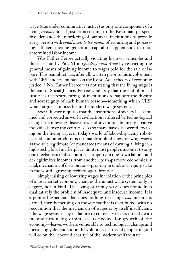wage (due under commutative justice) as only one component of a living *income*. Social Justice, according to the Kelsonian perspective, demands the reordering of our social institutions to provide every person with *equal access to the means* of acquiring and possessing sufficient income-generating capital to supplement a marketdetermined labor income.

Was Father Ferree actually violating his own principles and those set out by Pius XI in *Quadragesimo Anno* by restricting the general means of gaining income to wages paid for the sale of labor? This pamphlet was, after all, written prior to his involvement with CESJ and its emphasis on the Kelso-Adler theory of economic justice.<sup>11</sup> No, Father Ferree was not stating that the living wage is the end of Social Justice. Ferree would say that the end of Social Justice is the restructuring of institutions to support the dignity and sovereignty of each human person—something which CESJ would argue is impossible in the modern wage system.

Social Justice requires that the institutions of society be examined and corrected as world civilization is altered by technological change, manifesting discoveries and inventions by many creative individuals over the centuries. As so many have discovered, focusing on the living wage, in today's world of labor-displacing robotics and computer chips, is ultimately a blind alley. Viewing wages as the sole legitimate (or mandated) means of earning a living in a high-tech global marketplace, limits most people's incomes to only one mechanism of distribution—property in one's own labor—and de-legitimizes incomes from another, perhaps more economically vital, mechanism of distribution—property in one's own equity stake in the world's growing technological frontier.

Simply raising or lowering wages in violation of the principles of a just market economy, changes the unjust wage system only in degree, not in kind. The living or family wage does not address qualitatively the problem of inadequate and insecure income. It is a political expedient that does nothing to change *how* income is earned, merely focusing on the *amount* that is distributed, with no recognition that the mechanism of wages is by itself insufficient. The wage system—by its failure to connect workers directly with income-producing capital assets needed for growth of the economy—leaves workers vulnerable to technological change and increasingly dependent on the voluntary charity of people of good will or on the "coerced charity" of the modern welfare state.

<sup>11</sup>See Chapters 3 and 4 of *Curing World Poverty.*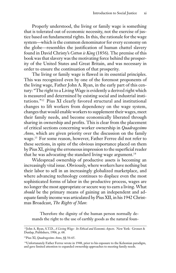Properly understood, the living or family wage is something that is tolerated out of economic necessity, not the exercise of justice based on fundamental rights. In this, the rationale for the wage system—which is the common denominator for every economy on the globe—resembles the justification of human chattel slavery found in David Christy's *Cotton is King* (1856). The premise of this book was that slavery was the motivating force behind the prosperity of the United States and Great Britain, and was necessary in order to ensure the continuation of that prosperity.

The living or family wage is flawed in its essential principles. This was recognized even by one of the foremost proponents of the living wage, Father John A. Ryan, in the early part of this century: "The right to a Living Wage is evidently a derived right which is measured and determined by existing social and industrial institutions."12 Pius XI clearly favored structural and institutional changes to lift workers from dependency on the wage system, changes that would enable workers to supplement their wages, meet their family needs, and become economically liberated through sharing in ownership and profits. This is clear from the placement of critical sections concerning worker ownership in *Quadragesimo Anno*, which are given priority over the discussion on the family wage.13 For some reason, however, Father Ferree did not refer to these sections, in spite of the obvious importance placed on them by Pius XI, giving the erroneous impression to the superficial reader that he was advocating the standard living wage argument.<sup>14</sup>

Widespread ownership of productive assets is becoming an increasingly vital issue. Obviously, where workers have nothing but their labor to sell in an increasingly globalized marketplace, and where advancing technology continues to displace even the most sophisticated forms of labor in the productive process, wages are no longer the most appropriate or secure way to earn a living. What *should* be the primary means of gaining an independent and adequate family income was articulated by Pius XII, in his 1942 Christmas Broadcast, *The Rights of Man*:

Therefore the dignity of the human person normally demands the right to the use of earthly goods as the natural foun-

<sup>12</sup>John A. Ryan, S.T.D., *A Living Wage: Its Ethical and Economic Aspects*. New York: Grosset & Dunlap, Publishers, 1906, p. 68.

<sup>13</sup>Pius XI, *Quadragesimo Anno*, §§ 56-65.

<sup>14</sup>Unfortunately Father Ferree wrote in 1948, prior to his exposure to the Kelsonian paradigm, and gave limited attention to expanded ownership approaches to meeting family needs.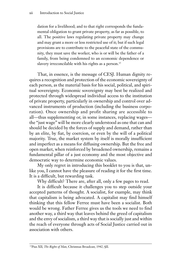dation for a livelihood; and to that right corresponds the fundamental obligation to grant private property, as far as possible, to all. The positive laws regulating private property may change and may grant a more or less restricted use of it; but if such legal provisions are to contribute to the peaceful state of the community, they must save the worker, who is or will be the father of a family, from being condemned to an economic dependence or slavery irreconcilable with his rights as a person.<sup>15</sup>

That, in essence, is the message of CESJ. Human dignity requires a recognition and protection of the economic sovereignty of each person, as the material basis for his social, political, and spiritual sovereignty. Economic sovereignty may best be realized and protected through widespread individual access to the institution of private property, particularly in ownership and control over advanced instruments of production (including the business corporation). Once ownership and profit sharing are accessible to all—thus supplementing or, in some instances, replacing wages the "just wage" will be more clearly understood as one that can and should be decided by the forces of supply and demand, rather than by an elite, by fiat, by coercion, or even by the will of a political majority. True, the market system by itself is morally insufficient and imperfect as a means for diffusing ownership. But the free and open market, when reinforced by broadened ownership, remains a fundamental pillar of a just economy and the most objective and democratic way to determine economic values.

My only regret in introducing this booklet to you is that, unlike you, I cannot have the pleasure of reading it for the first time. It is a difficult, but rewarding task.

Why difficult? There are, after all, only a few pages to read.

It is difficult because it challenges you to step outside your accepted patterns of thought. A socialist, for example, may think that capitalism is being advocated. A capitalist may find himself thinking that this fellow Ferree must have been a socialist. Both would be wrong. Father Ferree gives us the tools we need to find another way, a third way that leaves behind the greed of capitalism and the envy of socialism, a third way that is socially just and within the reach of everyone through acts of Social Justice carried out in association with others.

<sup>15</sup>Pius XII, *The Rights of Man*, Christmas Broadcast, 1942, §II.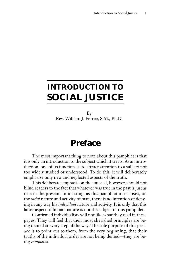# **INTRODUCTION TO SOCIAL JUSTICE**

By Rev. William J. Ferree, S.M., Ph.D.

## **Preface**

The most important thing to note about this pamphlet is that it is only an introduction to the subject which it treats. As an introduction, one of its functions is to attract attention to a subject not too widely studied or understood. To do this, it will deliberately emphasize only new and neglected aspects of the truth.

This deliberate emphasis on the unusual, however, should not blind readers to the fact that whatever was true in the past is just as true in the present. In insisting, as this pamphlet must insist, on the *social* nature and activity of man, there is no intention of denying in any way his *individual* nature and activity. It is only that this latter aspect of human nature is not the subject of this pamphlet.

Confirmed individualists will not like what they read in these pages. They will feel that their most cherished principles are being denied at every step of the way. The sole purpose of this preface is to point out to them, from the very beginning, that their truths of the individual order are not being denied—they are being *completed*.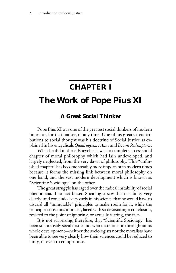## **CHAPTER I**

## **The Work of Pope Pius XI**

#### **A Great Social Thinker**

Pope Pius XI was one of the greatest social thinkers of modern times, or, for that matter, of any time. One of his greatest contributions to social thought was his doctrine of Social Justice as explained in his encyclicals *Quadragesimo Anno* and *Divini Redemptoris*.

What he did in these Encyclicals was to complete an essential chapter of moral philosophy which had lain undeveloped, and largely neglected, from the very dawn of philosophy. This "unfinished chapter" has become steadily more important in modern times because it forms the missing link between moral philosophy on one hand, and the vast modern development which is known as "Scientific Sociology" on the other.

The great struggle has raged over the radical instability of social phenomena. The fact-biased Sociologist saw this instability very clearly; and concluded very early in his science that he would have to discard all "immutable" principles to make room for it; while the principle-conscious moralist, faced with so devastating a conclusion, resisted to the point of ignoring, or actually fearing, the facts.

It is not surprising, therefore, that "Scientific Sociology" has been so intensely secularistic and even materialistic throughout its whole development—neither the sociologists nor the moralists have been able to see very clearly how their sciences could be reduced to unity, or even to compromise.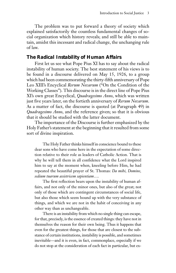The problem was to put forward a theory of society which explained satisfactorily the countless fundamental changes of social organization which history reveals; and still be able to maintain, amidst this incessant and radical change, the unchanging rule of law.

#### *The Radical Instability of Human Affairs*

First let us see what Pope Pius XI has to say about the radical instability of human society. The best statement of his views is to be found in a discourse delivered on May 15, 1926, to a group which had been commemorating the thirty-fifth anniversary of Pope Leo XIII's Encyclical *Rerum Novarum* ("On the Condition of the Working Classes"). This discourse is in the direct line of Pope Pius XI's own great Encyclical, *Quadragesimo Anno*, which was written just five years later, on the fortieth anniversary of *Rerum Novarum*. As a matter of fact, the discourse is quoted (at Paragraph 49) in *Quadragesimo Anno*, and the reference given; so that it is obvious that it should be studied with the latter document.

The importance of the Discourse is further emphasized by the Holy Father's statement at the beginning that it resulted from some sort of divine inspiration.

The Holy Father thinks himself in conscience bound to these dear sons who have come here in the expectation of some direction relative to their role as leaders of Catholic Action. That is why he will tell them in all confidence what the Lord inspired him to say at the moment when, kneeling before Him, he had repeated the beautiful prayer of St. Thomas: *Da mihi, Domine, sedium tuarum assistricem sapientiam*….

The first reflection bears upon the instability of human affairs, and not only of the minor ones, but also of the great; not only of those which are contingent circumstances of social life, but also those which seem bound up with the very substance of things, and which we are not in the habit of conceiving in any other way than as unchangeable.

There is an instability from which no single thing can escape, for that, precisely, is the essence of created things: they have not in themselves the reason for their own being. Thus it happens that even for the greatest things, for those that are closest to the substance of certain institutions, instability is possible, and sometimes inevitable—and it is even, in fact, commonplace, especially if we do not stop at the consideration of each fact in particular, but ex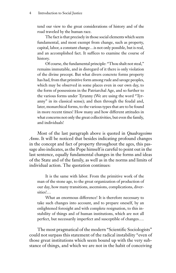tend our view to the great considerations of history and of the road traveled by the human race.

The fact is that precisely in those social elements which seem fundamental, and most exempt from change, such as property, capital, labor, a constant change…is not only possible, but is real, and an accomplished fact. It suffices to examine the course of history.

Of course, the fundamental principle: "Thou shalt not steal," remains immutable, and in disregard of it there is only violation of the divine precept. But what divers concrete forms property has had, from that primitive form among rude and savage peoples, which may be observed in some places even in our own day, to the form of possessions in the Patriarchal Age, and so further to the various forms under Tyranny (We are using the word "Tyranny" in its classical sense); and then through the feudal and, later, monarchical forms, to the various types that are to be found in more recent times! How many and how different attitudes in what concerns not only the great collectivities, but even the family, and individuals!

Most of the last paragraph above is quoted in *Quadragesimo Anno*. It will be noticed that besides indicating profound changes in the concept and fact of property throughout the ages, this passage also indicates, as the Pope himself is careful to point out in the last sentence, equally fundamental changes in the forms and ideas of the State and of the family, as well as in the norms and limits of individual action. The quotation continues:

It is the same with labor. From the primitive work of the man of the stone age, to the great organization of production of our day, how many transitions, ascensions, complications, diversities!…

What an enormous difference! It is therefore necessary to take such changes into account, and to prepare oneself, by an enlightened foresight and with complete resignation, to this instability of things and of human institutions, which are not all perfect, but necessarily imperfect and susceptible of changes….

The most pragmatical of the modern "Scientific Sociologists" could not surpass this statement of the radical instability "even of those great institutions which seem bound up with the very substance of things, and which we are not in the habit of conceiving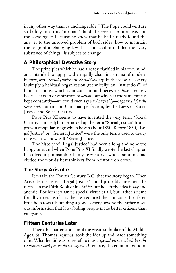in any other way than as unchangeable." The Pope could venture so boldly into this "no-man's-land" between the moralists and the sociologists because he knew that he had already found the answer to the unsolved problem of both sides: how to maintain the reign of unchanging law if it is once admitted that the "very substance of things" is subject to change.

#### *A Philosophical Detective Story*

The principles which he had already clarified in his own mind, and intended to apply to the rapidly changing drama of modern history, were *Social Justice* and *Social Charity*. In this view, all society is simply a habitual organization (technically: an "institution") of human actions; which is in constant and necessary *flux* precisely because it is an organization of *action*, but which at the same time is kept constantly—we could even say *unchangeably—organized for the same end*, human and Christian perfection, by the Laws of Social Justice and Social Charity.

Pope Pius XI seems to have invented the very term "Social Charity" himself; but he picked up the term "Social Justice" from a growing popular usage which began about 1850. Before 1850, "Legal Justice" or "General Justice" were the only terms used to designate what we now call "Social Justice."

The history of "Legal Justice" had been a long and none too happy one; and when Pope Pius XI finally wrote the last chapter, he solved a philosophical "mystery story" whose solution had eluded the world's best thinkers from Aristotle on down.

#### *The Story: Aristotle*

It was in the Fourth Century B.C. that the story began. Then Aristotle discussed "Legal Justice"—and probably invented the term—in the Fifth Book of his *Ethics*; but he left the idea fuzzy and anemic. For him it wasn't a special virtue at all, but rather a name for all virtues insofar as the law required their practice. It offered little help towards building a good society beyond the rather obvious information that law-abiding people made better citizens than gangsters.

#### *Fifteen Centuries Later*

There the matter stood until the greatest thinker of the Middle Ages, St. Thomas Aquinas, took the idea up and made something of it. What he did was to redefine it as *a special virtue which has the Common Good for its direct object*. Of course, the common good of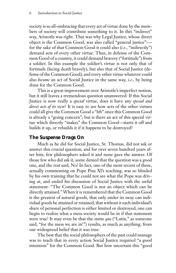society is so all-embracing that every act of virtue done by the members of society will contribute something to it. In this "indirect" way, Aristotle was right. That was why Legal Justice, whose direct object is the Common Good, was also called "general justice": for the sake of that Common Good it could also (*i.e.*, "indirectly") demand acts of every other virtue. Thus, in defense of the Common Good of a country, it could demand bravery ("fortitude") from a soldier. In this example the soldier's virtue is not only that of fortitude (facing death bravely), but also that of Social Justice (defense of the Common Good); and every other virtue whatever could also *become* an act of Social Justice in the same way, *i.e.*, by being done for the Common Good.

This is a great improvement over Aristotle's imperfect notion, but it still leaves a tremendous question unanswered: If this Social Justice is now really a *special* virtue, does it have any *special and direct acts of its own*? It is easy to see how acts of the other virtues could all give the Common Good a "lift" once this Common Good is already a "going concern"; but is there an act of this special virtue which directly "makes" the Common Good—starts it off and builds it up, or rebuilds it if it happens to be destroyed?

#### *The Suspense Drags On*

Much as he did for Social Justice, St. Thomas, did not ask or answer this crucial question, and for over seven hundred years after him, few philosophers asked it and none gave the answer. Of those few who did ask it, some denied that the question was a good one, and the rest said, No! In fact, one of the most recent of these, actually commenting on Pope Pius XI's teaching, was so blinded by his own training that he could not see what the Pope was driving at, and ended his discussion of Social Justice with the awful statement: "The Common Good is not an object which can be directly attained." When it is remembered that the Common Good is the greatest of natural goods, that only under its sway can individual goods be attained or retained, that without it each individual's share of personal perfection is either limited or destroyed, one can begin to realize what a mess society would be in if that statement were true! It may even be that the *status quo* ("Latin," as someone said, "for the mess we are in!") results, as much as anything, from our widespread belief that it was true.

The best that the social philosophers of the past could manage was to teach that in every action Social Justice required "a good intention" for the Common Good. But how uncertain this "good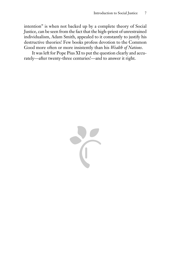intention" is when not backed up by a complete theory of Social Justice, can be seen from the fact that the high-priest of unrestrained individualism, Adam Smith, appealed to it constantly to justify his destructive theories! Few books profess devotion to the Common Good more often or more insistently than his *Wealth of Nations*.

It was left for Pope Pius XI to put the question clearly and accurately—after twenty-three centuries!—and to answer it right.

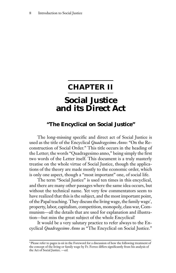## **CHAPTER II**

## **Social Justice and its Direct Act**

#### **"The Encyclical on Social Justice"**

The long-missing specific and direct act of Social Justice is used as the title of the Encyclical *Quadragesimo Anno*: "On the Reconstruction of Social Order." This title occurs in the heading of the Letter; the words "Quadragesimo anno," being simply the first two words of the Letter itself. This document is a truly masterly treatise on the whole virtue of Social Justice, though the applications of the theory are made mostly to the economic order, which is only one aspect, though a "most important" one, of social life.

The term "Social Justice" is used ten times in this encyclical, and there are many other passages where the same idea occurs, but without the technical name. Yet very few commentators seem to have realized that this is the subject, and the most important point, of the Papal teaching. They discuss the living wage, the family wage\* , property, labor, capitalism, competition, monopoly, class war, Communism—all the details that are used for explanation and illustration—but miss the great subject of the whole Encyclical!

It would be a very salutary practice to refer always to the Encyclical *Quadragesimo Anno* as "The Encyclical on Social Justice."

<sup>•</sup> Please refer to pages ix-xii in the Foreword for a discussion of how the following treatment of the concept of the living or family wage by Fr. Ferree differs significantly from his analysis of the Act of Social Justice. —ed.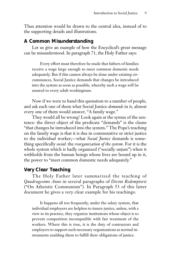Thus attention would be drawn to the central idea, instead of to the supporting details and illustrations.

#### *A Common Misunderstanding*

Let us give an example of how the Encyclical's great message can be misunderstood. In paragraph 71, the Holy Father says:

Every effort must therefore be made that fathers of families receive a wage large enough to meet common domestic needs adequately. But if this cannot always be done under existing circumstances, Social Justice demands that changes be introduced into the system as soon as possible, whereby such a wage will be assured to every adult workingman.

Now if we were to hand this quotation to a number of people, and ask each one of them what Social Justice *demands* in it, almost every one of them would answer, "A family wage."

They would all be wrong! Look again at the syntax of the sentence: the direct object of the predicate "demands" is the clause "that changes be introduced into the system." The Pope's teaching on the family wage is that it is due in commutative or strict justice to the individual worker;—what *Social Justice* demands is something specifically *social*: the *reorganization of the system*. For it is the whole system which is badly organized ("socially unjust") when it withholds from the human beings whose lives are bound up in it, the power to "meet common domestic needs adequately."

#### *Very Clear Teaching*

The Holy Father later summarized the teaching of *Quadragesimo Anno* in several paragraphs of *Divini Redemptoris* ("On Atheistic Communism"). In Paragraph 53 of this latter document he gives a very clear example for his teachings:

It happens all too frequently, under the salary system, that individual employers are helpless to insure justice, unless, with a view to its practice, they organize institutions whose object is to prevent competition incompatible with fair treatment of the workers. Where this is true, it is the duty of contractors and employers to support such necessary organizations as normal instruments enabling them to fulfill their obligations of justice.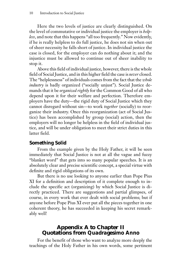Here the two levels of justice are clearly distinguished. On the level of commutative or individual justice the employer is *helpless*, and note that this happens "all too frequently." Now evidently, if he is really helpless to do full justice, he does not sin when out of sheer necessity he falls short of justice. In individual justice the case is closed, for the employer can do nothing about it; and the injustice must be allowed to continue out of sheer inability to stop it.

Above this field of individual justice, however, there is the whole field of Social Justice, and in this higher field the case is *never* closed. The "helplessness" of individuals comes from the fact that the *whole industry* is badly organized ("socially unjust"). Social Justice demands that it be *organized rightly* for the Common Good of all who depend upon it for their welfare and perfection. Therefore employers have the duty—the rigid duty of Social Justice which they cannot disregard without sin—to work *together* (socially) to reorganize their industry. Once this reorganization (act of Social Justice) has been accomplished by group (social) action, then the employers will no longer be helpless in the field of individual justice, and will be under obligation to meet their strict duties in this latter field.

#### *Something Solid*

From the example given by the Holy Father, it will be seen immediately that Social Justice is not at all the vague and fuzzy "blanket word" that gets into so many popular speeches. It is an absolutely clear and precise scientific concept, a special virtue with definite and rigid obligations of its own.

But there is no use looking to anyone earlier than Pope Pius XI for a definition and description of it complete enough to include the specific act (organizing) by which Social Justice is directly practiced. There are suggestions and partial glimpses, of course, in every work that ever dealt with social problems; but if anyone before Pope Pius XI ever put all the pieces together in one coherent theory, he has succeeded in keeping his secret remarkably well!

#### **Appendix A to Chapter II Quotations from** *Quadragesimo Anno*

For the benefit of those who want to analyze more deeply the teachings of the Holy Father in his own words, some pertinent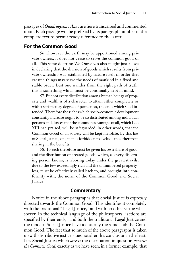passages of *Quadragesimo Anno* are here transcribed and commented upon. Each passage will be prefixed by its paragraph number in the complete text to permit ready reference to the latter:

#### *For the Common Good*

56…however the earth may be apportioned among private owners, it does not cease to serve the common good of all. This same doctrine We Ourselves also taught just above in declaring that the division of goods which results from private ownership was established by nature itself in order that created things may serve the needs of mankind in a fixed and stable order. Lest one wander from the right path of truth, this is something which must be continually kept in mind.

57. But not every distribution among human beings of property and wealth is of a character to attain either completely or with a satisfactory degree of perfection, the ends which God intended. Therefore the riches which socio-economic development constantly increase ought to be so distributed among individual persons and classes that the common advantage of all, which Leo XIII had praised, will be safeguarded; in other words, that the Common Good of all society will be kept inviolate. By this law of Social Justice, one man is forbidden to exclude the other from sharing in the benefits.

58. To each therefore must be given his own share of good, and the distribution of created goods, which, as every discerning person knows, is laboring today under the greatest evils, due to the few exceedingly rich and the unnumbered propertyless, must be effectively called back to, and brought into conformity with, the norm of the Common Good, *i.e.*, Social Justice.

#### *Commentary*

Notice in the above paragraphs that Social Justice is expressly directed towards the Common Good. This identifies it completely with the traditional "Legal Justice," and with no other virtue whatsoever. In the technical language of the philosophers, "actions are specified by their ends," and both the traditional Legal Justice and the modern Social Justice have identically the same end: the Common Good. The fact that so much of the above paragraphs is taken up with distributive justice, does not alter this conclusion in the least. It is Social Justice which *directs* the distribution in question *towards the Common Good*; exactly as we have seen, in a former example, that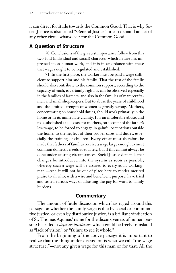it can direct fortitude towards the Common Good. That is why Social Justice is also called "General Justice": it can demand an act of any other virtue whatsoever for the Common Good.

#### *A Question of Structure*

70. Conclusions of the greatest importance follow from this two-fold (individual and social) character which nature has impressed upon human work, and it is in accordance with these that wages ought to be regulated and established.

71. In the first place, the worker must be paid a wage sufficient to support him and his family. That the rest of the family should also contribute to the common support, according to the capacity of each, is certainly right, as can be observed especially in the families of farmers, and also in the families of many craftsmen and small shopkeepers. But to abuse the years of childhood and the limited strength of women is grossly wrong. Mothers, concentrating on household duties, should work primarily in the home or in its immediate vicinity. It is an intolerable abuse, and to be abolished at all costs, for mothers, on account of the father's low wage, to be forced to engage in gainful occupations outside the home, to the neglect of their proper cares and duties, especially the training of children. Every effort must therefore be made that fathers of families receive a wage large enough to meet common domestic needs adequately, but if this cannot always be done under existing circumstances, Social Justice demands that changes be introduced into the system as soon as possible, whereby such a wage will be assured to every adult workingman.—And it will not be out of place here to render merited praise to all who, with a wise and beneficent purpose, have tried and tested various ways of adjusting the pay for work to family burdens.

#### *Commentary*

The amount of futile discussion which has raged around this passage on whether the family wage is due by social or commutative justice, or even by distributive justice, is a brilliant vindication of St. Thomas Aquinas' name for the discursiveness of human reason: he called it *defectus intellectus*, which could be freely translated as "lack of vision" or "failure to see it whole."

From the beginning of the above passage it is important to realize that the thing under discussion is what we call "the wage structure,"—not any given wage for this man or for that. All the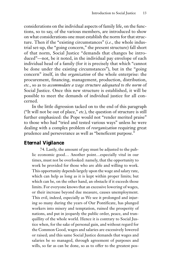considerations on the individual aspects of family life, on the functions, so to say, of the various members, are introduced to show on what considerations one must establish the norm for that structure. Then if the "existing circumstances" (*i.e.*, the whole industrial set-up, the "going concern," the present structure) fall short of that norm, Social Justice "demands that changes be introduced"—not, be it noted, in the individual pay envelope of each individual head of a family (for it is precisely that which "cannot be done under the existing circumstances"), but in the "going concern" itself, in the *organization* of the whole enterprise: the procurement, financing, management, production, distribution, *etc.*, so as to *accommodate a wage structure adequated to the norm* of Social Justice. Once this new structure is established, it will be possible to meet the demands of individual justice for all concerned.

In the little digression tacked on to the end of this paragraph ("It will not be out of place," *etc.*), the question of structure is still further emphasized: the Pope would not "render merited praise" to those who had "tried and tested various ways" unless he were dealing with a complex problem of *reorganization* requiring great prudence and perseverance as well as "beneficent purpose."

#### *Eternal Vigilance*

74. Lastly, the amount of pay must be adjusted to the public economic good… Another point…especially vital in our times, must not be overlooked: namely, that the opportunity to work be provided for those who are able and willing to work. This opportunity depends largely upon the wage and salary rate, which can help as long as it is kept within proper limits; but which can be, on the other hand, an obstacle if it exceeds those limits. For everyone knows that an excessive lowering of wages, or their increase beyond due measure, causes unemployment. This evil, indeed, especially as We see it prolonged and injuring so many during the years of Our Pontificate, has plunged workers into misery and temptation, ruined the prosperity of nations, and put in jeopardy the public order, peace, and tranquillity of the whole world. Hence it is contrary to Social Justice when, for the sake of personal gain, and without regard for the Common Good, wages and salaries are excessively lowered or raised; and this same Social Justice demands that wages and salaries be so managed, through agreement of purposes and wills, so far as can be done, so as to offer to the greatest pos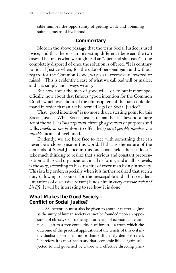sible number the opportunity of getting work and obtaining suitable means of livelihood.

#### *Commentary*

Note in the above passage that the term Social Justice is used twice, and that there is an interesting difference between the two cases. The first is what we might call an "open and shut case"—one completely disposed of once the solution is offered: "It is contrary to Social Justice when, for the sake of personal gain and without regard for the Common Good, wages are excessively lowered or raised." This is evidently a case of what we call bad will or malice, and it is simply and always wrong.

But how about the men of good will—or, to put it more specifically, how about that famous "good intention for the Common Good" which was about all the philosophers of the past could demand in order that an act be termed legal or Social Justice?

That "good intention" is no more than a starting point for this Social Justice: What Social Justice demands—far beyond a mere act of the will—is "*management*, through *agreement* of purposes and wills, *insofar as can be done*, to offer the *greatest possible number*… a *suitable* means of livelihood."

Evidently, we are here face to face with something that can never be a closed case in this world. If that is the nature of the demands of Social Justice in this one small field, then it doesn't take much thinking to realize that a serious and constant preoccupation with social organization, in all its forms, and at all its levels, is the *duty*, according to his capacity, of every man living in society. This is a big order, especially when it is further realized that such a duty (allowing, of course, for the inescapable and all too evident limitations of discursive reason) binds him in *every exterior action of his life*. It will be interesting to see how it is done!

#### *What Makes the Good Society— Conflict or Social Justice?*

88. Attention must also be given to another matter…. Just as the unity of human society cannot be founded upon an opposition of classes, so also the right ordering of economic life cannot be left to a free competition of forces… a truth which the outcome of the practical application of the tenets of this evil individualistic spirit has more than sufficiently demonstrated. Therefore it is most necessary that economic life be again subjected to and governed by a true and effective directing prin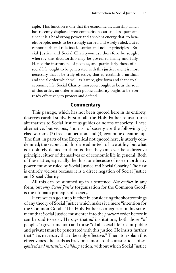ciple. This function is one that the economic dictatorship which has recently displaced free competition can still less perform, since it is a headstrong power and a violent energy that, to benefit people, needs to be strongly curbed and wisely ruled. But it cannot curb and rule itself. Loftier and nobler principles—Social Justice and Social Charity—must therefore be sought whereby this dictatorship may be governed firmly and fully. Hence the institutions of peoples, and particularly those of all social life, ought to be penetrated with this justice; and it is most necessary that it be truly effective, that is, establish a juridical and social order which will, as it were, give form and shape to all economic life. Social Charity, moreover, ought to be as the soul of this order, an order which public authority ought to be ever ready effectively to protect and defend.

#### *Commentary*

This passage, which has not been quoted here in its entirety, deserves careful study. First of all, the Holy Father refuses three alternatives to Social Justice as guides or norms of society. These alternative, but vicious, "norms" of society are the following: (1) class warfare, (2) free competition, and (3) economic dictatorship. The first, in parts of the Encyclical not quoted here, is utterly condemned; the second and third are admitted to have utility, but what is absolutely denied to them is that they can ever be a directive principle, either of themselves or of economic life in general. Both of these latter, especially the third one because of its extraordinary power, must be ruled by Social Justice and Social Charity. The first is entirely vicious because it is a direct negation of Social Justice and Social Charity.

All this can be summed up in a sentence: *Not conflict* in any form, but *only Social Justice* (organization for the Common Good) is the ultimate principle of society.

Here we can go a step further in considering the shortcomings of any theory of Social Justice which makes it a mere "intention for the Common Good." The Holy Father is categorical in his statement that Social Justice must enter into the *practical* order before it can be said to exist. He says that *all* institutions, both those "of peoples" (governmental) and those "of all social life" (semi-public and private) must be penetrated with this justice. He insists further that "it is necessary that it be truly effective." Then, to explain this effectiveness, he leads us back once more to the master-idea of *organized and institution-building* action, without which Social Justice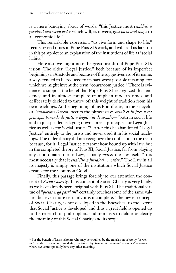is a mere bandying about of words: "this Justice must *establish a juridical and social order* which will, as it were, *give form and shape* to all economic life."

This remarkable expression, "to give form and shape to life," recurs several times in Pope Pius XI's work, and will lead us later on in this pamphlet to an explanation of the institutions of life as "social habits."

Here also we might note the great breadth of Pope Pius XI's vision. The older "Legal Justice," both because of its imperfect beginnings in Aristotle and because of the suggestiveness of its name, always tended to be reduced to its narrowest possible meaning, for which we might invent the term "courtroom justice." There is evidence to support the belief that Pope Pius XI recognized this tendency, and its almost complete triumph in modern times, and deliberately decided to throw off this weight of tradition from his own teachings. At the beginning of his Pontificate, in the Encyclical *Studiorum Ducem*, occurs the phrase *in re sociali et in jure recta principia ponendo de justitia legali aut de sociali*:—"both in social life and in jurisprudence laying down correct principles for Legal Justice as well as for Social Justice."13 After this he abandoned "Legal Justice" entirely to the jurists and never used it in his social teachings. The older theory did not recognize the confusion in the term because, for it, Legal Justice *was* somehow bound up with law; but in the completed theory of Pius XI, Social Justice, far from playing any subordinate role to Law, actually *makes* the law itself: "It is most necessary that it *establish a juridical … order*." The Law in all its majesty is simply one of the institutions which Social Justice creates for the Common Good!

Finally, this passage brings forcibly to our attention the concept of *Social Charity*. This concept of Social Charity is very likely, as we have already seen, original with Plus XI. The traditional virtue of "*pietas erga patriam*" certainly touches some of the same values; but even more certainly it is incomplete. The newer concept of Social Charity, is not developed in the Encyclical to the extent that Social Justice is developed; and thus a great field is opened up to the research of philosophers and moralists to delineate clearly the meaning of this Social Charity and its scope.

<sup>13</sup> For the benefit of Latin scholars who may be troubled by the translation of *aut* by "as well as," the above phrase is immediately continued by: *Itemque de commutativa aut de distributiva*, where *aut* cannot possibly have any other meaning.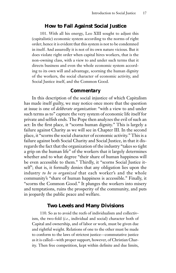#### **How to Fail Against Social Justice**

101. With all his energy, Leo XIII sought to adjust this (capitalistic) economic system according to the norms of right order; hence it is evident that this system is not to be condemned in itself. And assuredly it is not of its own nature vicious. But it does violate right order when capital hires workers, that is the non-owning class, with a view to and under such terms that it directs business and even the whole economic system according to its own will and advantage, scorning the human dignity of the workers, the social character of economic activity, and Social Justice itself, and the Common Good.

#### *Commentary*

In this description of the social injustice of which Capitalism has made itself guilty, we may notice once more that the question at issue is one of *deliberate organization*: "with a view to and under such terms as to" capture the very system of economic life itself for private and selfish ends. The Pope then analyzes the evil of such an act: In the first place, it "scorns human dignity." This is largely a failure against Charity as we will see in Chapter III. In the second place, it "scorns the social character of economic activity." This is a failure against both Social Charity and Social Justice, in that it disregards the fact that the organization of the industry "takes so tight a grip on the human life" of the workers that it largely determines whether and to what degree "their share of human happiness will be even accessible to them." Thirdly, it "scorns Social Justice itself"; that is, it formally denies that any obligation lies upon the industry *to be so organized* that each worker's and the whole community's "share of human happiness is accessible." Finally, it "scorns the Common Good." It plunges the workers into misery and temptations, ruins the prosperity of the community, and puts in jeopardy the public peace and welfare.

#### **Two Levels and Many Divisions**

110. So as to avoid the reefs of individualism and collectivism, the two-fold (*i.e.*, individual and social) character both of Capital and ownership, and of labor or work, must be given due and rightful weight. Relations of one to the other must be made to conform to the laws of strictest justice—commutative justice as it is called—with proper support, however, of Christian Charity. Then free competition, kept within definite and due limits,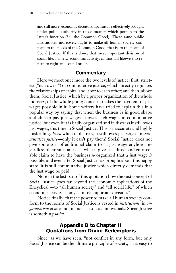and still more, economic dictatorship, must be effectively brought under public authority in those matters which pertain to the latter's function (*i.e.*, the Common Good). These same public institutions, moreover, ought to make all human society conform to the needs of the Common Good, that is, to the norm of Social Justice. If this is done, that most important division of social life, namely, economic activity, cannot fail likewise to return to right and sound order.

#### *Commentary*

Here we meet once more the two levels of justice: first, strictest ("narrowest") or commutative justice, which directly regulates the relationships of capital and labor to each other; and then, above them, Social Justice, which by a proper organization of the whole industry, of the whole going concern, makes the payment of just wages possible in it. Some writers have tried to explain this in a popular way by saying that when the business is in good shape and able to pay just wages, it owes such wages in commutative justice; but even if it is badly organized and in distress it still owes just wages, this time in Social Justice. This is inaccurate and highly misleading. *Even* when in distress, it still owes just wages in *commutative justice*—only it can't pay them! Social Justice does not give some sort of additional claim to "a just wage anyhow, regardless of circumstances"—what it gives is a direct and enforceable claim to have the business *so* organized that a just wage *is* possible; and even after Social Justice has brought about this happy state, it is still commutative justice which directly demands that the just wage be paid.

Note in the last part of this quotation how the vast concept of Social Justice goes far beyond the economic applications of the Encyclical:—to "all human society" and "all social life," of which economic activity is only "a most important division."

Notice finally, that the power to make all human society conform to the norms of Social Justice is vested in *institutions*, in *organizations of men*, not in men as isolated individuals. Social Justice is something *social*.

#### **Appendix B to Chapter II Quotations from Divini Redemptoris**

Since, as we have seen, "not conflict in any form, but only Social Justice can be the ultimate principle of society," it is easy to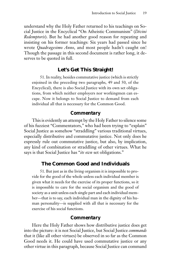understand why the Holy Father returned to his teachings on Social Justice in the Encyclical "On Atheistic Communism" (*Divini Redemptoris*). But he had another good reason for repeating and insisting on his former teachings: Six years had passed since he wrote *Quadragesimo Anno*, and most people hadn't caught on! Though the passage in this second document is rather long, it deserves to be quoted in full.

#### **Let's Get This Straight!**

51. In reality, besides commutative justice (which is strictly enjoined in the preceding two paragraphs, 49 and 50, of the Encyclical), there is also Social Justice with its own set obligations, from which neither employers nor workingmen can escape. Now it belongs to Social Justice to demand from each individual all that is necessary for the Common Good.

#### *Commentary*

This is evidently an attempt by the Holy Father to silence some of his fuzziest "Commentators," who had been trying to "explain" Social Justice as somehow "straddling" various traditional virtues, especially distributive and commutative justice. Not only does he expressly rule out commutative justice, but also, by implication, any kind of combination or straddling of other virtues. What he says is that Social Justice has "*its own* set obligations."

#### **The Common Good and Individuals**

51. But just as in the living organism it is impossible to provide for the good of the whole unless each individual member is given what it needs for the exercise of its proper functions, so it is impossible to care for the social organism and the good of society as a unit unless each single part and each individual member—that is to say, each individual man in the dignity of his human personality—is supplied with all that is necessary for the exercise of his social functions.

#### *Commentary*

Here the Holy Father shows how distributive justice does get into the picture: it is not Social Justice, but Social Justice *commands* that it (like all other virtues) be observed in so far as the Common Good needs it. He could have used commutative justice or any other virtue in this paragraph, because Social Justice can command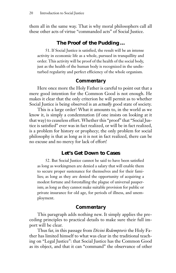them all in the same way. That is why moral philosophers call all these other acts of virtue "commanded acts" of Social Justice.

### **The Proof of the Pudding …**

51. If Social Justice is satisfied, the result will be an intense activity in economic life as a whole, pursued in tranquillity and order. This activity will be proof of the health of the social body, just as the health of the human body is recognized in the undisturbed regularity and perfect efficiency of the whole organism.

### *Commentary*

Here once more the Holy Father is careful to point out that a mere good intention for the Common Good is not enough. He makes it clear that the only criterion he will permit as to whether Social Justice is being observed is an *actually* good state of society.

This is a large order! What it amounts to, in the world as we know it, is simply a condemnation (if one insists on looking at it that way) to ceaseless effort. Whether this "proof" that "Social Justice is satisfied" ever was in fact realized, or will be in fact realized, is a problem for history or prophecy; the only problem for social philosophy is that as long as it is not in fact realized, there can be no excuse and no mercy for lack of effort!

### **Let's Get Down to Cases**

52. But Social Justice cannot be said to have been satisfied as long as workingmen are denied a salary that will enable them to secure proper sustenance for themselves and for their families; as long as they are denied the opportunity of acquiring a modest fortune and forestalling the plague of universal pauperism; as long as they cannot make suitable provision for public or private insurance for old age, for periods of illness, and unemployment.

#### *Commentary*

This paragraph adds nothing new. It simply applies the preceding principles to practical details to make sure their full import will be clear.

Thus far, in this passage from *Divini Redemptoris* the Holy Father has limited himself to what was clear in the traditional teaching on "Legal Justice": that Social Justice has the Common Good as its object, and that it can "command" the observance of other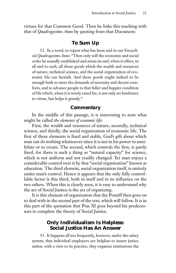virtues for that Common Good. Then he links this teaching with that of *Quadragesimo Anno* by quoting from that Document:

### **To Sum Up**

52. In a word, to repeat what has been said in our Encyclical *Quadragesimo Anno*: "Then only will the economic and social order be soundly established and attain its end, when it offers, to all and to each, all those goods which the wealth and resources of nature, technical science, and the social organization of economic life can furnish. And these goods ought indeed to be enough both to meet the demands of necessity and decent comforts, and to advance people to that fuller and happier condition of life which, when it is wisely cared for, is not only no hindrance to virtue, but helps it greatly."

#### *Commentary*

In the middle of this passage, it is interesting to note what might be called *the elements of economic life*:

First, the wealth and resources of nature, secondly, technical science, and thirdly, the social organization of economic life. The first of these elements is fixed and stable, God's gift about which man can do nothing whatsoever since it is not in his power to annihilate or to create. The second, which controls the first, is partly fixed, for there is such a thing as "natural capacity" for science, which is not uniform and not readily changed. Yet man enjoys a considerable control over it by that "social organization" known as education. The third element, social organization itself, is entirely under man's control. Hence it appears that the only fully controllable factor is this third, both in itself and in its influence on the two others. When this is clearly seen, it is easy to understand why the act of Social Justice is the act of organizing.

It is this element of organization that the Pontiff then goes on to deal with in the second part of the text, which will follow. It is in this part of the quotation that Pius XI goes beyond his predecessors to complete the theory of Social Justice.

### **Only Individualism Is Helpless: Social Justice Has An Answer**

53. It happens all too frequently, however, under the salary system, that individual employers are helpless to insure justice unless, with a view to its practice, they organize institutions the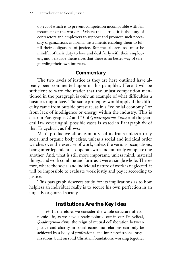object of which is to prevent competition incompatible with fair treatment of the workers. Where this is true, it is the duty of contractors and employers to support and promote such necessary organizations as normal instruments enabling them to fulfill their obligations of justice. But the laborers too must be mindful of their duty to love and deal fairly with their employers, and persuade themselves that there is no better way of safeguarding their own interests.

### *Commentary*

The two levels of justice as they are here outlined have already been commented upon in this pamphlet. Here it will be sufficient to warn the reader that the unjust competition mentioned in the paragraph is only an example of what difficulties a business might face. The same principles would apply if the difficulty came from outside pressure, as in a "colonial economy," or from lack of intelligence or energy within the industry. This is clear in Paragraphs 72 and 73 of *Quadragesimo Anno*; and the general law covering all possible cases is stated in Paragraph 69 of that Encyclical, as follows:

Man's productive effort cannot yield its fruits unless a truly social and organic body exists, unless a social and juridical order watches over the exercise of work, unless the various occupations, being interdependent, co-operate with and mutually complete one another. And, what is still more important, unless mind, material things, and work combine and form as it were a single whole. Therefore, where the social and individual nature of work is neglected, it will be impossible to evaluate work justly and pay it according to justice.

This paragraph deserves study for its implications as to how helpless an individual really is to secure his own perfection in an unjustly organized society.

### **Institutions Are the Key Idea**

54. If, therefore, we consider the whole structure of economic life, as we have already pointed out in our Encyclical, *Quadragesimo Anno*, the reign of mutual collaboration between justice and charity in social economic relations can only be achieved by a body of professional and inter-professional organizations, built on solid Christian foundations, working together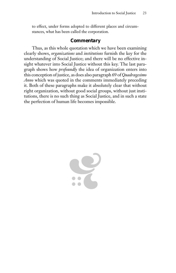to effect, under forms adopted to different places and circumstances, what has been called the corporation.

### *Commentary*

Thus, as this whole quotation which we have been examining clearly shows, *organizations* and *institutions* furnish the key for the understanding of Social Justice; and there will be no effective insight whatever into Social Justice without this key. The last paragraph shows how *profoundly* the idea of organization enters into this conception of justice, as does also paragraph 69 of *Quadragesimo Anno* which was quoted in the comments immediately preceding it. Both of these paragraphs make it absolutely clear that without right organization, without good social groups, without just institutions, there is no such thing as Social Justice, and in such a state the perfection of human life becomes impossible.

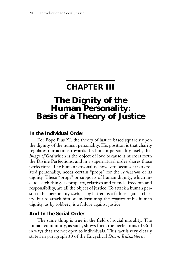### **CHAPTER III**

## **The Dignity of the Human Personality: Basis of a Theory of Justice**

### *In the Individual Order*

For Pope Pius XI, the theory of justice based squarely upon the dignity of the human personality. His position is that charity regulates our actions towards the human personality itself, that *Image of God* which is the object of love because it mirrors forth the Divine Perfections, and in a supernatural order shares those perfections. The human personality, however, because it is a created personality, needs certain "props" for the *realization* of its dignity. These "props" or supports of human dignity, which include such things as property, relatives and friends, freedom and responsibility, are all the object of justice. To attack a human person in his personality *itself*, as by hatred, is a failure against charity; but to attack him by undermining the *supports* of his human dignity, as by robbery, is a failure against justice.

### *And In the Social Order*

The same thing is true in the field of social morality. The human community, as such, shows forth the perfections of God in ways that are not open to individuals. This fact is very clearly stated in paragraph 30 of the Encyclical *Divini Redemptoris*: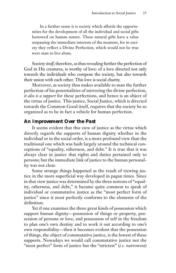In a further sense it is society which affords the opportunities for the development of all the individual and social gifts bestowed on human nature. These natural gifts have a value surpassing the immediate interests of the moment, for in society they reflect a Divine Perfection, which would not be true were man to live alone.

Society *itself*, therefore, as thus revealing further the perfection of God in His creatures, is worthy of love: of a love directed not only towards the individuals who compose the society, but also towards their union with each other. This love is social charity.

Moreover, as society thus makes available to man the further perfection of his potentialities of mirroring the divine perfection, *it also is a support* for these perfections, and hence is an object of the virtue of justice. This justice, Social Justice, which is directed towards the Common Good itself, requires that the society be so organized as to be in fact a vehicle for human perfection.

### *An Improvement Over the Past*

It seems evident that this view of justice as the virtue which directly regards the supports of human dignity whether in the individual or in the social order, is a more profound view than the traditional one which was built largely around the technical conceptions of "equality, otherness, and debt." It is true that it was always clear in justice that rights and duties pertained only to persons; but the immediate link of justice to the human personality was not clear.

Some strange things happened as the result of viewing justice in the more superficial way developed in pagan times. Since in that view justice was determined by the three notions of "equality, otherness, and debt," it became quite common to speak of individual or commutative justice as the "most perfect form of justice" since it most perfectly conforms to the elements of the definition.

Yet if one examines the three great kinds of possession which support human dignity—possession of things or property, possession of persons or love, and possession of self in the freedom to plan one's own destiny and to work it out according to one's own responsibility—then it becomes evident that the possession of things, the object of commutative justice, is the lowest of these supports. Nowadays we would call commutative justice not the "most perfect" form of justice but the "strictest" (*i.e.* narrowest)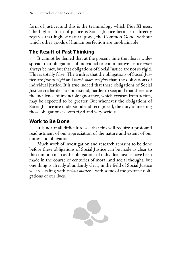form of justice; and this is the terminology which Pius XI uses. The highest form of justice is Social Justice because it directly regards that highest natural good, the Common Good, without which other goods of human perfection are unobtainable.

### *The Result of Past Thinking*

It cannot be denied that at the present time the idea is widespread, that obligations of individual or commutative justice *must* always be met, but that obligations of Social Justice are not so rigid. This is totally false. The truth is that the obligations of Social Justice are *just as rigid* and *much more weighty* than the obligations of individual justice. It is true indeed that these obligations of Social Justice are harder to understand, harder to see; and that therefore the incidence of invincible ignorance, which excuses from action, may be expected to be greater. But whenever the obligations of Social Justice are understood and recognized, the duty of meeting those obligations is both rigid and very serious.

### *Work to Be Done*

It is not at all difficult to see that this will require a profound readjustment of our appreciation of the nature and extent of our duties and obligations.

Much work of investigation and research remains to be done before these obligations of Social Justice can be made as clear to the common man as the obligations of individual justice have been made in the course of centuries of moral and social thought; but one thing is already abundantly clear; in the field of Social Justice we are dealing with *serious matter*—with some of the greatest obligations of our lives.

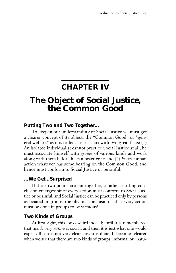### **CHAPTER IV**

# **The Object of Social Justice, the Common Good**

### *Putting Two and Two Together…*

To deepen our understanding of Social Justice we must get a clearer concept of its object: the "Common Good" or "general welfare" as it is called. Let us start with two great facts: (1) An isolated individualist cannot practice Social Justice at all, he must associate himself with *groups* of various kinds and work along with them before he can practice it; and (2) *Every* human action whatever has some bearing on the Common Good, and hence must conform to Social Justice or be sinful.

### *…We Get…Surprised*

If these two points are put together, a rather startling conclusion emerges: since every action must conform to Social Justice or be sinful, and Social Justice can be practiced only by persons associated in groups, the obvious conclusion is that every action must be done in groups to be virtuous!

### *Two Kinds of Groups*

At first sight, this looks weird indeed; until it is remembered that man's very *nature* is social, and then it is just what one would expect. But it is not very clear how it is done. It becomes clearer when we see that there are two kinds of groups: informal or "natu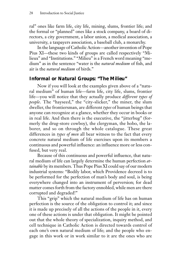ral" ones like farm life, city life, mining, slums, frontier life; and the formal or "planned" ones like a stock company, a board of directors, a city government, a labor union, a medical association, a university, a taxpayers association, a baseball club, a monarchy.

In the language of Catholic Action—another invention of Pope Pius XI—these two kinds of groups are called respectively "Milieux" and "Institutions." "Milieu" is a French word meaning "medium" as in the sentence "water is the *natural medium* of fish, and air is the *natural medium* of birds."

### *Informal or Natural Groups: "The Milieu"*

Now if you will look at the examples given above of a "natural medium" of human life—farm life, city life, slums, frontier life—you will notice that they actually produce *different types of people*. The "hayseed," the "city-slicker," the miner, the slum dweller, the frontiersman, are different *types* of human beings that anyone can recognize at a glance, whether they occur in books or in real life. And then there is the executive, the "jitterbug" (formerly the drug-store cowboy), the clergyman, the hobo, the laborer, and so on through the whole catalogue. These great differences in *types of men* all bear witness to the fact that every concrete natural medium of life exercises upon its members a continuous and powerful influence: an influence more or less confused, but very real.

Because of this continuous and powerful influence, that natural medium of life can largely determine the human perfection *attainable* by its members. Thus Pope Pius XI could say of our modern industrial systems: "Bodily labor, which Providence decreed is to be performed for the perfection of man's body and soul, is being everywhere changed into an instrument of perversion; for dead matter comes forth from the factory ennobled, while men are there corrupted and degraded!"

This "grip" which the natural medium of life has on human perfection is the source of the obligation to control it; and since it is made up precisely of all the actions of the people in it, every one of these actions is under that obligation. It might be pointed out that the whole theory of specialization, inquiry method, and cell technique in Catholic Action is directed towards control of each one's own natural medium of life; and the people who engage in this work or in work similar to it are the ones who are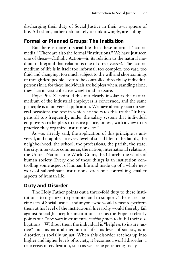discharging their duty of Social Justice in their own sphere of life. All others, either deliberately or unknowingly, are failing.

### *Formal or Planned Groups: The Institution*

But there is more to social life than these informal "natural media." There are also the formal "institutions." We have just seen one of these—Catholic Action—in its relation to the natural medium of life; and that relation is one of direct *control*. The natural medium of life is in itself too informal, too complex, too vast, too fluid and changing, too much subject to the will and shortcomings of thoughtless people, ever to be controlled directly by individual persons in it, for these individuals are helpless when, standing alone, they face its vast collective weight and pressure.

Pope Pius XI pointed this out clearly insofar as the natural medium of the industrial employers is concerned; and the same principle is of universal application. We have already seen on several occasions the text in which he indicates this truth: "It happens all too frequently, under the salary system that individual employers are helpless to insure justice, unless, with a view to its practice they organize institutions, *etc.*"

As was already said, the application of this principle is universal, and it applies to every level of social life: to the family, the neighborhood, the school, the professions, the parish, the state, the city, inter-state commerce, the nation, international relations, the United Nations, the World Court, the Church, the whole of human society. Every one of these things is an institution controlling some aspect of human life and made up of a whole network of subordinate institutions, each one controlling smaller aspects of human life.

### *Duty and Disorder*

The Holy Father points out a three-fold duty to these institutions: to organize, to promote, and to support. These are specific acts of Social Justice; and anyone who would refuse to perform them at his level of the institutional hierarchy would thereby fail against Social Justice; for institutions are, as the Pope so clearly points out, "*necessary* instruments, *enabling* men to fulfill their obligations." Without them the individual is "helpless to insure justice" and his natural medium of life, his level of society, is in disorder, is socially unjust. When this disorder reaches up into higher and higher levels of society, it becomes a world disorder, a true crisis of civilization, such as we are experiencing today.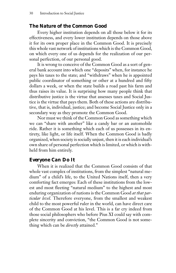### *The Nature of the Common Good*

Every higher institution depends on all those below it for its effectiveness, and every lower institution depends on those above it for its own proper place in the Common Good. It is precisely this whole vast network of institutions which is the Common Good, on which every one of us depends for the realization of our personal perfection, of our personal good.

It is wrong to conceive of the Common Good as a sort of general bank account into which one "deposits" when, for instance he pays his taxes to the state; and "withdraws" when he is appointed public coordinator of something or other at a hundred and fifty dollars a week, or when the state builds a road past his farm and thus raises its value. It is surprising how many people think that distributive justice is the virtue that assesses taxes and Social Justice is the virtue that pays them. Both of these actions are distributive, that is, individual, justice; and become Social Justice only in a secondary way as they promote the Common Good.

Nor must we think of the Common Good as something which we can "share with another" like a candy bar or an automobile ride. Rather it is something which each of us possesses in its entirety, like light, or life itself. When the Common Good is badly organized, when society is socially unjust, then it is each individual's own share of personal perfection which is limited, or which is withheld from him entirely.

### *Everyone Can Do It*

When it is realized that the Common Good consists of that whole vast complex of institutions, from the simplest "natural medium" of a child's life, to the United Nations itself, then a very comforting fact emerges: Each of these institutions from the lowest and most fleeting "natural medium" to the highest and most enduring organization of nations is the Common Good *at that particular level*. Therefore everyone, from the smallest and weakest child to the most powerful ruler in the world, can have direct care of the Common Good at his level. This is a far cry indeed from those social philosophers who before Pius XI could say with complete sincerity and conviction, "the Common Good is not something which can be *directly* attained."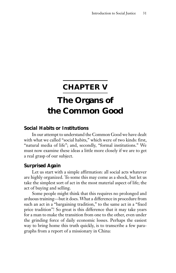# **CHAPTER V The Organs of the Common Good**

### *Social Habits or Institutions*

In our attempt to understand the Common Good we have dealt with what we called "social habits," which were of two kinds: first, "natural media of life"; and, secondly, "formal institutions." We must now examine these ideas a little more closely if we are to get a real grasp of our subject.

### *Surprised Again*

Let us start with a simple affirmation: all social acts whatever are highly organized. To some this may come as a shock, but let us take the simplest sort of act in the most material aspect of life; the act of buying and selling.

Some people might think that this requires no prolonged and arduous training—but it does. What a difference in procedure from such an act in a "bargaining tradition," to the same act in a "fixed price tradition"! So great is this difference that it may take years for a man to make the transition from one to the other, even under the grinding force of daily economic losses. Perhaps the easiest way to bring home this truth quickly, is to transcribe a few paragraphs from a report of a missionary in China: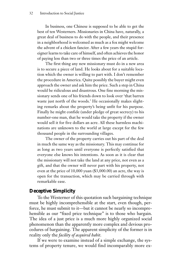In business, one Chinese is supposed to be able to get the best of ten Westerners. Missionaries in China have, naturally, a great deal of business to do with the people, and their presence in a neighborhood is welcomed as much as a fox might welcome the advent of a chicken fancier. After a few years the stupid foreigner learns to take care of himself, and often achieves the honor of paying less than two or three times the price of an article.

The first thing any new missionary must do in a new area is to secure a piece of land. He looks about for a suitable location which the owner is willing to part with. I don't remember the procedure in America. Quite possibly the buyer might even approach the owner and ask him the price. Such a step in China would be ridiculous and disastrous. One fine morning the missionary sends one of his friends down to look over 'that barren waste just north of the woods.' He occasionally makes slighting remarks about the property's being unfit for his purpose. Finally he might confide (under pledge of great secrecy) to his number-one man, that he would take the property if the owner would sell it for five dollars an acre. All these harmless machinations are unknown to the world at large except for the few thousand people in the surrounding villages.

The owner of the property carries out his part of the deal in much the same way as the missionary. This may continue for as long as two years until everyone is perfectly satisfied that everyone else knows his intentions. As soon as it is clear that the missionary will not take the land at any price, not even as a gift, and that the owner will never part with his property, not even at the price of 10,000 yuan (\$3,000.00) an acre, the way is open for the transaction, which may be carried through with remarkable ease.

### *Deceptive Simplicity*

To the Westerner of this quotation such bargaining technique must be highly incomprehensible at the start, even though, perforce, he must submit to it—but it cannot be nearly so incomprehensible as our "fixed price technique" is to those who bargain. The idea of a just price is a much more highly organized social phenomenon than the apparently more complex and devious procedures of bargaining. The apparent simplicity of the former is in reality only the *facility of acquired habit*.

If we were to examine instead of a simple exchange, the systems of property tenure, we would find incomparably more ex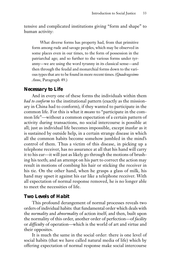tensive and complicated institutions giving "form and shape" to human activity:

What diverse forms has property had, from that primitive form among rude and savage peoples, which may be observed in some places even in our times, to the form of possession in the patriarchal age; and so further to the various forms under tyranny—we are using the word tyranny in its classical sense—and then through the feudal and monarchial forms down to the various types that are to be found in more recent times. (*Quadragesimo Anno*, Paragraph 49.)

### *Necessary to Life*

And in every one of these forms the individuals within them *had to conform* to the institutional pattern (exactly as the missionary in China had to conform), if they wanted to participate in the common life. For this is what it *means* to "participate in the common life"—without a common expectation of a certain pattern of activity during transactions, no social intercourse is possible at all; just as individual life becomes impossible, except inasfar as it is sustained by outside help, in a certain strange disease in which all the common habits become somehow jumbled in the mind's control of them. Thus a victim of this disease, in picking up a telephone receiver, has no assurance at all that his hand will carry it to his ear—it will just as likely go through the motions of brushing his teeth; and an attempt on his part to correct the action may result in motions of combing his hair or sticking the receiver in his tie. On the other hand, when he grasps a glass of milk, his hand may upset it against his ear like a telephone receiver. With all expectation of normal response removed, he is no longer able to meet the necessities of life.

### *Two Levels of Habit*

This profound derangement of normal processes reveals two orders of individual habits: that fundamental order which deals with the *normality* and *abnormality* of action itself; and then, built upon the normality of this order, another order of perfection—of *facility* or *difficulty* of operation—which is the world of art and virtue and their opposites.

It is much the same in the social order: there is one level of social habits (that we have called natural media of life) which by offering expectation of normal response make social intercourse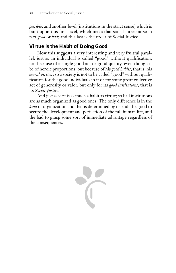*possible*; and another level (institutions in the strict sense) which is built upon this first level, which make that social intercourse in fact *good* or *bad*; and this last is the order of Social Justice.

### *Virtue is the Habit of Doing Good*

Now this suggests a very interesting and very fruitful parallel: just as an individual is called "good" without qualification, not because of a single good act or good quality, even though it be of heroic proportions, but because of his *good habits*, that is, his *moral virtues*; so a society is not to be called "good" without qualification for the good individuals in it or for some great collective act of generosity or valor, but only for its *good institutions*, that is its *Social Justice*.

And just as vice is as much a habit as virtue; so bad institutions are as much organized as good ones. The only difference is in the *kind* of organization and that is determined by its end: the good to secure the development and perfection of the full human life, and the bad to grasp some sort of immediate advantage regardless of the consequences.

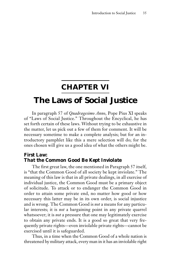### **CHAPTER VI**

### **The Laws of Social Justice**

In paragraph 57 of *Quadragesimo Anno*, Pope Pius XI speaks of "Laws of Social Justice." Throughout the Encyclical, he has set forth certain of these laws. Without trying to be exhaustive in the matter, let us pick out a few of them for comment. It will be necessary sometime to make a complete analysis; but for an introductory pamphlet like this a mere selection will do; for the ones chosen will give us a good idea of what the others might be.

### *First Law: That the Common Good Be Kept Inviolate*

The first great law, the one mentioned in Paragraph 57 itself, is "that the Common Good of all society be kept inviolate." The meaning of this law is that in all private dealings, in all exercise of individual justice, the Common Good must be a primary object of solicitude. To attack or to endanger the Common Good in order to attain some private end, no matter how good or how necessary this latter may be in its own order, is social injustice and is wrong. The Common Good is *not* a means for any particular interests; it is *not* a bargaining point in any private quarrel whatsoever; it is *not* a pressure that one may legitimately exercise to obtain any private ends. It is a good so great that very frequently private rights—even inviolable private rights—cannot be exercised until it is safeguarded.

Thus, in a time when the Common Good of a whole nation is threatened by military attack, every man in it has an inviolable right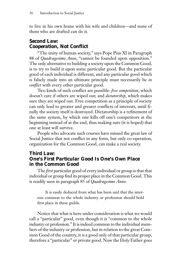to live in his own home with his wife and children—and none of them who are drafted can do it.

### *Second Law: Cooperation, Not Conflict*

"The unity of human society," says Pope Pius XI in Paragraph 88 of *Quadragesimo Anno*, "cannot be founded upon opposition." The only alternative to building a society upon the Common Good, is to try to build it upon some particular good. But the particular good of each individual is different, and any particular good which is falsely made into an ultimate principle must necessarily be *in conflict* with every other particular good.

Two kinds of such conflict are possible: *free competition*, which doesn't care if others are wiped out; and *dictatorship*, which makes sure they are wiped out. Free competition as a principle of society can only lead to greater and greater conflicts of interests, until finally the society itself is destroyed. Dictatorship is a refinement of the same system, by which one kills off one's competitors at the beginning instead of at the end, thus making sure (it is hoped) that one at least will survive.

People who advocate such courses have missed the great law of Social Justice that not conflict in any form, but only co-operation, organization for the Common Good, can make a real society.

### *Third Law: One's First Particular Good Is One's Own Place in the Common Good*

The *first* particular good of every individual or group is that that individual or group find its proper place in the Common Good. This is readily seen in paragraph 85 of *Quadragesimo Anno*:

It is easily deduced from what has been said that the interests common to the whole industry or profession should hold first place in these guilds.

Notice that what is here under consideration is what we would call a "particular" good, even though it is "common to the whole industry or profession." It is indeed common to the individual members of the industry or profession, but in relation to the great Common Good of the country, it is a good only of that particular group, therefore a "particular" or private good. Now the Holy Father goes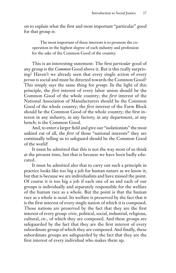on to explain what the first and most important "particular" good for that group is:

The most important of these interests is to promote the cooperation in the highest degree of each industry and profession for the sake of the Common Good of the country.

This is an interesting statement: The first *particular* good of any group is the *Common* Good above it. But is this really surprising? Haven't we already seen that every single action of every *person* is social and must be directed towards the Common Good? This simply says the same thing for *groups*. In the light of this principle, the *first* interest of every labor union should be the Common Good of the whole country; the *first* interest of the National Association of Manufacturers should be the Common Good of the whole country; the *first* interest of the Farm Block should be the Common Good of the whole country; the first interest in any industry, in any factory, in any department, at any bench; is the Common Good.

And, to enter a larger field and give our "isolationists" the most unkind cut of all, the *first* of those "national interests" they are continually telling us to safeguard should be the Common Good of the world!

It must be admitted that this is not the way most of us think at the present time, but that is because we have been badly educated.

It must be admitted also that to carry out such a principle in practice looks like too big a job for human nature as we know it; but that is because we are individualists and have missed the point. Of course it is too big a job if each one of us and each of our groups is individually and separately responsible for the welfare of the human race as a whole. But the point is that the human race as a whole is *social*. Its welfare is preserved by the fact that it is the first interest of every single nation of which it is composed. Those nations are preserved by the fact that they are the first interest of every group: civic, political, social, industrial, religious, cultural, *etc.*, of which they are composed. And these groups are safeguarded by the fact that they are the first interest of every subordinate group of which they are composed. And finally, these subordinate groups are safeguarded by the fact that they are the first interest of every individual who makes them up.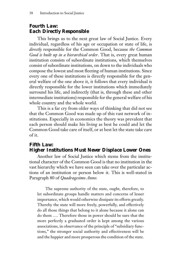### *Fourth Law: Each Directly Responsible*

This brings us to the next great law of Social Justice. Every individual, regardless of his age or occupation or state of life, is *directly* responsible for the Common Good, because *the Common Good is built up in a hierarchical order*. That is, every great human institution consists of subordinate institutions, which themselves consist of subordinate institutions, on down to the individuals who compose the lowest and most fleeting of human institutions. Since every one of these institutions is directly responsible for the general welfare of the one above it, it follows that every individual is directly responsible for the lower institutions which immediately surround his life, and indirectly (that is, through these and other intermediate institutions) responsible for the general welfare of his whole country and the whole world.

This is a far cry from older ways of thinking that did not see that the Common Good was made up of this vast network of institutions. Especially in economics the theory was prevalent that each person should make his living as best he could and let the Common Good take care of itself, or at best let the state take care of it.

### *Fifth Law: Higher Institutions Must Never Displace Lower Ones*

Another law of Social Justice which stems from the institutional character of the Common Good is that no institution in the vast hierarchy which we have seen can take over the particular actions of an institution or person below it. This is well-stated in Paragraph 80 of *Quadragesimo Anno*:

The supreme authority of the state, ought, therefore, to let subordinate groups handle matters and concerns of lesser importance, which would otherwise dissipate its efforts greatly. Thereby the state will more freely, powerfully, and effectively do all those things that belong to it alone because it alone can do them …. Therefore those in power should be sure that the more perfectly a graduated order is kept among the various associations, in observance of the principle of "subsidiary functions," the stronger social authority and effectiveness will be and the happier and more prosperous the condition of the state.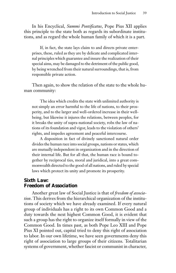In his Encyclical, *Summi Pontificatus*, Pope Pius XII applies this principle to the state both as regards its subordinate institutions, and as regard the whole human family of which it is a part.

If, in fact, the state lays claim to and directs private enterprises, these, ruled as they are by delicate and complicated internal principles which guarantee and insure the realization of their special aims, may be damaged to the detriment of the public good, by being wrenched from their natural surroundings, that is, from responsible private action.

Then again, to show the relation of the state to the whole human community:

The idea which credits the state with unlimited authority is not simply an error harmful to the life of nations, to their prosperity, and to the larger and well-ordered increase in their wellbeing, but likewise it injures the relations, between peoples, for it breaks the unity of supra-national society, robs the law of nations of its foundation and vigor, leads to the violation of others' rights, and impedes agreement and peaceful intercourse.

A disposition in fact of divinely sanctioned natural order divides the human race into social groups, nations or states, which are mutually independent in organization and in the direction of their internal life. But for all that, the human race is bound together by reciprocal ties, moral and juridical, into a great commonwealth directed to the good of all nations, and ruled by special laws which protect its unity and promote its prosperity.

### *Sixth Law: Freedom of Association*

Another great law of Social Justice is that of *freedom of association*. This derives from the hierarchical organization of the institutions of society which we have already examined. If every natural group of individuals has a right to its own Common Good and a duty towards the next highest Common Good, it is evident that such a group has the right to organize itself formally in view of the Common Good. In times past, as both Pope Leo XIII and Pope Pius XI pointed out, capital tried to deny this right of association to labor. In our own lifetime, we have seen governments deny this right of association to large groups of their citizens. Totalitarian systems of government, whether fascist or communist in character,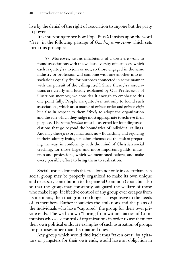live by the denial of the right of association to anyone but the party in power.

It is interesting to see how Pope Pius XI insists upon the word "free" in the following passage of *Quadragesimo Anno* which sets forth this principle:

87. Moreover, just as inhabitants of a town are wont to found associations with the widest diversity of purposes, which each is quite *free* to join or not, so those engaged in the same industry or profession will combine with one another into associations equally *free* for purposes connected in some manner with the pursuit of the calling itself. Since these *free* associations are clearly and lucidly explained by Our Predecessor of illustrious memory, we consider it enough to emphasize this one point fully. People are quite *free*, not only to found such associations, which are a matter of *private* order and *private right* but also in respect to them "*freely* to adopt the organization and the rule which they judge most appropriate to achieve their purpose. The same *freedom* must be asserted for founding associations that go beyond the boundaries of individual callings. And may these *free* organizations now flourishing and rejoicing in their salutary fruits, set before themselves the task of preparing the way, in conformity with the mind of Christian social teaching, for those larger and more important guilds, industries and professions, which we mentioned before, and make every possible effort to bring them to realization.

Social Justice demands this freedom not only in order that each social group may be properly organized to make its own unique and necessary contribution to the general Common Good, but also so that the group may constantly safeguard the welfare of those who make it up. If effective control of any group ever escapes from its members, then that group no longer is responsive to the needs of its members. Rather it satisfies the ambitions and the plans of the individuals who have "captured" the group for their own private ends. The well known "boring from within" tactics of Communists who seek control of organizations in order to use them for their own political ends, are examples of such usurpation of groups for purposes other than their natural ones.

Any group which would find itself thus "taken over" by agitators or gangsters for their own ends, would have an obligation in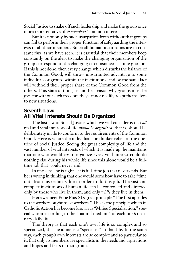Social Justice to shake off such leadership and make the group once more representative of *its members'* common interests.

But it is not only by such usurpation from without that groups can fail to perform their proper function of safeguarding the interests of all their members. Since all human institutions are in constant flux, as we have seen, it is essential that their members keep constantly on the alert to make the changing organization of the group correspond to the changing circumstances as time goes on. If this is not done, then every change which disturbs the balance of the Common Good, will throw unwarranted advantage to some individuals or groups within the institutions, and by the same fact will withhold their proper share of the Common Good from the others. This state of things is another reason why groups must be *free*, for without such freedom they cannot readily adapt themselves to new situations.

### *Seventh Law: All Vital Interests Should Be Organized*

The last law of Social Justice which we will consider is that *all* real and vital interests of life *should be organized*, that is, should be deliberately made to conform to the requirements of the Common Good. Here is where the individualistic thinker rebels at the doctrine of Social Justice. Seeing the great complexity of life and the vast number of vital interests of which it is made up, he maintains that one who would try to organize every vital interest could do nothing else during his whole life since this alone would be a fulltime job that would never end.

In one sense he is right—it is full-time job that never ends. But he is wrong in thinking that one would somehow have to take "time out" from his ordinary life in order to do this job. The vast and complex institutions of human life can be controlled and directed only by those who live in them, and only *while* they live in them.

Here we meet Pope Pius XI's great principle "The first apostles to the workers ought to be workers." This is the principle which in Catholic Action has become known as "Milieu Specialization," specialization according to the "natural medium" of each one's ordinary daily life.

The theory is that each one's own life is so complex and so specialized, that he alone is a "specialist" in that life. In the same way, each group's own interests are so complex and so particular to it, that only its members are specialists in the needs and aspirations and hopes and fears of that group.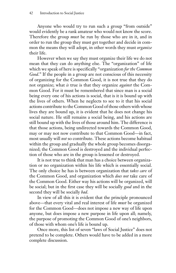Anyone who would try to run such a group "from outside" would evidently be a rank amateur who would not know the score. Therefore the group *must* be run by those who are in it, and in order to run the group they must get together and decide in common the means they will adopt, in other words they must *organize* their life.

However when we say they must organize their life we do not mean that they can do anything else. The "organization" of life which we speak of here is specifically "organization *for the Common Good*." If the people in a group are not conscious of this necessity of organizing for the Common Good, it is not true that they do not organize; what *is* true is that they organize *against* the Common Good. For it must be remembered that since man is a social being every one of his actions is social, that is it is bound up with the lives of others. When he neglects to see to it that his social actions contribute to the Common Good of those others with whose lives they are bound up, it is evident that he does not change his social nature. He still remains a social being, and his actions are still bound up with the lives of those around him. The difference is that those actions, being undirected towards the Common Good, may or may not now contribute to that Common Good—in fact, most usually will *not* so contribute. These actions become habitual within the group and gradually the whole group becomes disorganized; the Common Good is destroyed and the individual perfection of those who are in the group is lessened or destroyed.

It is not true to think that man has a choice between organization or no organization within his life which is essentially social. The only choice he has is between organization that *takes care* of the Common Good, and organization which *does not* take care of the Common Good. Either way his actions will be organized, will be social; but in the first case they will be socially *good* and in the second they will be socially *bad*.

In view of all this it is evident that the principle pronounced above—that every vital and real interest of life *must* be organized for the Common Good—does not impose a new way of life upon anyone, but does impose a new purpose in life upon all; namely, the purpose of promoting the Common Good of one's neighbors, of those with whom one's life is bound up.

Once more, this list of seven "laws of Social Justice" does not pretend to be complete. Others would have to be added in a more complete discussion.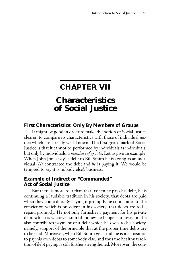### **CHAPTER VII**

# **Characteristics of Social Justice**

### *First Characteristics: Only By Members of Groups*

It might be good in order to make the notion of Social Justice clearer, to compare its characteristics with those of individual justice which are already well-known. The first great mark of Social Justice is that it cannot be performed by individuals as individuals, but only by individuals *as members of groups*. Let us give an example. When John Jones pays a debt to Bill Smith he is acting as an individual. *He* contracted the debt and *he* is paying it. We would be tempted to say it is nobody else's business.

### *Example of Indirect or "Commanded" Act of Social Justice*

But there is more to it than that. When he pays his debt, he is continuing a laudable tradition in his society, that debts are paid when they come due. By paying it promptly he contributes to the conviction which is prevalent in his society, that debts are to be repaid promptly. He not only furnishes a payment for his private debt, which is whatever sum of money he happens to owe, but he also contributes payment of a debt which he owes to his society, namely, support of the principle that at the proper time debts are to be paid. Moreover, when Bill Smith gets paid, he is in a position to pay his own debts to somebody else; and thus the healthy tradition of debt paying is still further strengthened. Moreover, the con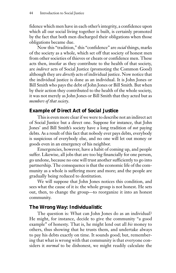fidence which men have in each other's integrity, a confidence upon which all our social living together is built, is certainly promoted by the fact that both men discharged their obligations when those obligations became due.

Now this "tradition," this "confidence" are *social* things, marks of the society as a whole, which set off that society of honest men from other societies of thieves or cheats or confidence men. These acts then, insofar as they contribute to the health of that society, are *indirect* acts of Social Justice (promoting the Common Good) although they are *directly* acts of individual justice. Now notice that the individual justice is done as an individual. It is John Jones or Bill Smith who pays the debt of John Jones or Bill Smith. But when by their action they contributed to the health of the whole society, it was not merely as John Jones or Bill Smith that they acted but as *members of that society*.

### *Example of Direct Act of Social Justice*

This is even more clear if we were to describe not an indirect act of Social Justice but a direct one. Suppose for instance, that John Jones' and Bill Smith's society have a long tradition of *not* paying debts. As a result of this fact that nobody ever pays debts, everybody is suspicious of everybody else, and no one will let out money or goods even in an emergency of his neighbor.

Emergencies, however, have a habit of coming up, and people suffer. Likewise, all jobs that are too big financially for one person, go undone, because no one will trust another sufficiently to go into partnership. The consequence is that the economic life of the community as a whole is suffering more and more; and the people are gradually being reduced to destitution.

We will suppose that John Jones notices this condition, and sees what the cause of it is: the whole group is not honest. He sets out, then, to change the group—to reorganize it into an honest community.

### *The Wrong Way: Individualistic*

The question is: What can John Jones do as an individual? He might, for instance, decide to give the community "a good example" of honesty. That is, he might lend out all *his* money to others, thus showing that he trusts them, and undertake always to pay his debts exactly on time. It sounds good; but, remembering that what is wrong with that community is that everyone considers it *normal* to be dishonest, we might readily calculate the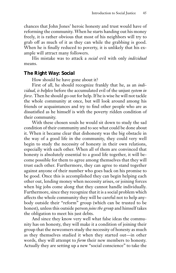chances that John Jones' heroic honesty and trust would have of reforming the community. When he starts handing out his money freely, it is rather obvious that most of his neighbors will try to grab off as much of it as they can while the grabbing is good. When he is finally reduced to poverty, it is unlikely that his example will attract many followers.

His mistake was to attack a *social* evil with only *individual* means.

### *The Right Way: Social*

How should he have gone about it?

First of all, he should recognize frankly that he, as an *individual, is helpless* before the accumulated evil of the unjust *system in force*. Then he should go out for help. If he is wise he will not tackle the whole community at once, but will look around among his friends or acquaintances and try to find other people who are as dissatisfied as he himself is with the poverty ridden condition of their community.

With these chosen souls he would sit down to study the sad condition of their community and to see what could be done about it. When it became clear that dishonesty was the big obstacle in the way of a good life in the community, they could very well begin to study the necessity of honesty in their own relations, especially with each other. When all of them are convinced that honesty is absolutely essential to a good life together, it will become possible for them to agree among themselves that they will trust each other. Furthermore, they can agree to stand together against anyone of their number who goes back on his promise to be good. Once this is accomplished they can begin helping each other out, lending money when necessity arises, or joining forces when big jobs come along that they cannot handle individually. Furthermore, since they recognize that it is a social problem which affects the whole community they will be careful not to help anybody outside their "reform" group (which can be trusted to be honest), unless this outside person *joins the group* and himself takes the obligation to meet his just debts.

And since they know very well what false ideas the community has on honesty, they will make it a condition of joining their group that the newcomers study the necessity of honesty as much as they themselves studied it when they started out—in other words, they will attempt to *form* their new members to honesty. Actually they are setting up a new "social conscience" to take the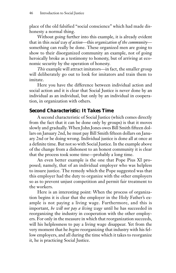place of the old falsified "social conscience" which had made dishonesty a normal thing.

Without going further into this example, it is already evident that in this *social way of action*—this *organization of the community* something can really be done. These organized men are going to show to their disorganized community an example, not of going heroically broke as a testimony to honesty, but of arriving at economic security by the operation of honesty.

*This* example will attract imitators—in fact, the smaller group will deliberately go out to look for imitators and train them to imitate.

Here you have the difference between individual action and social action and it is clear that Social Justice is never done by an individual as an individual, but only by an individual in cooperation, in organization with others.

### *Second Characteristic: It Takes Time*

A second characteristic of Social Justice (which comes directly from the fact that it can be done only by groups) is that it moves slowly and gradually. When John Jones owes Bill Smith fifteen dollars on January 2nd, he must pay Bill Smith fifteen dollars on January 2nd or be doing wrong. Individual justice is done all at once at a definite time. But not so with Social Justice. In the example above of the change from a dishonest to an honest community it is clear that the process took some time—probably a long time.

An even better example is the one that Pope Pius XI proposed; namely, that of an individual employer who was helpless to insure justice. The remedy which the Pope suggested was that this employer had the duty to organize with the other employers so as to prevent unjust competition and permit fair treatment to the workers.

Here is an interesting point: When the process of organization begins it is clear that the employer in the Holy Father's example is not paying a living wage. Furthermore, and this is important, *he will not pay a living wage* until he has succeeded in reorganizing the industry in cooperation with the other employers. For only in the measure in which that reorganization succeeds, will his helplessness to pay a living wage disappear. Yet from the very moment that he *begins* reorganizing that industry with his fellow employers, and all during the time which it takes to reorganize it, he is practicing Social Justice.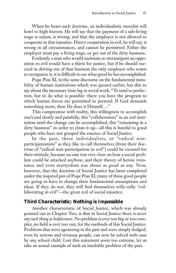When he hears such doctrine, an individualistic moralist will howl to high heaven. He will say that the payment of a sub-living wage is unjust, is wrong; and that the employer is not allowed to cooperate in that injustice. Direct cooperation in evil, he will say, is wrong in all circumstances, and cannot be permitted. Either the employer must pay a living wage, or get out of the dirty business.

Evidently a man who would maintain so intransigent an opposition to evil would have a thirst for justice, but if he should succeed in driving out of that business the only employer who wants to reorganize it, it is difficult to see what good he has accomplished.

Pope Pius XI, in the same discourse on the fundamental instability of human institutions which was quoted earlier, has this to say about the necessary time lag in social work: "To tend to perfection, but to do what is possible: there you have the program to which human forces are permitted to pretend. If God demands something more, then He does it Himself...."

This compromise with reality, this willingness to accomplish one's end slowly and painfully, this "collaboration" in an evil institution until the change can be accomplished, this "remaining in a dirty business" in order to clean it up—all this is hateful to good people who have not grasped the essence of Social Justice.

In the past, these individualists, or "radical nonparticipationists" as they like to call themselves (from their doctrine of "radical non-participation in evil") could be excused for their attitude, because no one was very clear on how a social problem could be attacked anyhow; and their theory of heroic resistance and even martyrdom was about as good as any. Now, however, that the doctrine of Social Justice has been completed under the inspired pen of Pope Pius XI, many of these good people are going to have to change their fundamental assumptions and ideas. If they do not, they will find themselves willy-nilly "collaborating in evil"—the great evil of social injustice.

### *Third Characteristic: Nothing is Impossible*

Another characteristic of Social Justice, which was already pointed out in Chapter Two, is that in Social Justice there is *never any such thing as helplessness*. No problem is ever too big or too complex, no field is ever too vast, for the methods of this Social Justice. Problems that were agonizing in the past and were simply dodged, even by serious and virtuous people, can now be solved with ease by any school child. Lest this statement seem too extreme, let us take an actual example of such an insoluble problem of the past.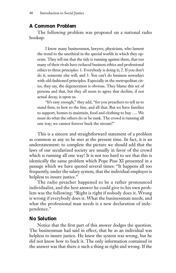### *A Common Problem*

The following problem was proposed on a national radio hookup:

I know many businessmen, lawyers, physicians, who lament the trend to the unethical in the special worlds in which they operate. They tell me that the tide is running against them, that too many of their rivals have reduced business ethics and professional ethics to three principles: 1. Everybody is doing it; 2. If you don't do it, someone else will; and 3. You can't do business nowadays with old-fashioned principles. Especially in the metropolitan cities, they say, the degeneration is obvious. They blame this set of persons and that, but they all seem to agree that decline, if not actual decay, is upon us.

"It's easy enough," they add, "for you preachers to tell us to stand firm, to hew to the line, and all that. But we have families to support, homes to maintain, food and clothing to buy …. We must do what the others do or be sunk. The crowd is running all one way; we cannot forever buck the stream!"

This is a sincere and straightforward statement of a problem as common as any to be met at the present time. In fact, it is an understatement: to complete the picture we should add that the laws of our secularized society are usually in favor of the crowd which is running all one way! It is not too hard to see that this is identically the same problem which Pope Pius XI presented in a passage which we have quoted several times: "It happens all too frequently, under the salary system, that the individual employer is helpless to insure justice."

The radio preacher happened to be a rather pronounced individualist, and the best answer he could give to his own problem was the following: "Right is right if nobody does it. Wrong is wrong if everybody does it. What the businessman needs, and what the professional man needs is a new declaration of independence."

#### *No Solution*

Notice that the first part of this answer dodges the question. The businessman had said in effect, that he as an individual was helpless to insure justice. He knew the system was wrong, but he did not know how to buck it. The only information contained in the answer was that there *is* such a thing as right and wrong. If the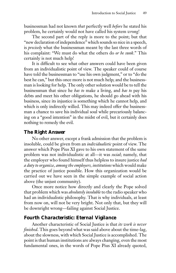businessman had not known *that* perfectly well *before* he stated his problem, he certainly would not have called his system *wrong*!

The second part of the reply is more to the point; but that "new declaration of independence" which sounds so nice in a speech, is *precisely* what the businessman meant by the last three words of his complaint: "We must do what the others do *or be sunk*." This certainly is not much help!

It is difficult to see what other answers could have been given from an individualistic point of view. The speaker could of course have told the businessman to "use his own judgment," or to "do the best he can," but this once more is not much help; and the businessman is looking for help. The only other solution would be to tell the businessman that since he *has to* make a living, and *has to* pay his debts and meet his other obligations, he should go ahead with his business, since its injustice is something which he cannot help, and which is only indirectly willed. This may indeed offer the businessman a chance to save his individual soul while precariously balancing on a "good intention" in the midst of evil, but it certainly does nothing to remedy the evil.

### *The Right Answer*

No other answer, except a frank admission that the problem is insoluble, could be given from an *individualistic* point of view. The answer which Pope Pius XI gave to his own statement of the same problem was not individualistic at all—it was *social*; namely, that the employer who found himself thus helpless to insure justice *had a duty to organize, among the employers, institutions* which would make the practice of justice possible. How this organization would be carried out we have seen in the simple example of social action above (the unjust community).

Once more notice how directly and clearly the Pope solved that problem which was *absolutely insoluble* to the radio speaker who had an individualistic philosophy. That is why individuals, at least from now on, will not be very bright. Not only that, but they will be downright wrong—failing against Social Justice.

### *Fourth Characteristic: Eternal Vigilance*

Another characteristic of Social Justice is that *its work is never finished*. This goes beyond what was said above about the time-lag, about the slowness, with which Social Justice is accomplished. The point is that human institutions are always changing, even the most fundamental ones, in the words of Pope Pius XI already quoted,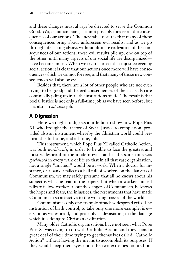and these changes must always be directed to serve the Common Good. We, as human beings, cannot possibly foresee all the consequences of our actions. The inevitable result is that many of these consequences bring about unforeseen evil results; and as we go through life, acting always without ultimate realization of the consequences of our actions, these evil results pile up, one on top of the other, until many aspects of our social life are disorganized have become unjust. When we try to correct that injustice even by social action it is clear that our actions once more will have consequences which we cannot foresee, and that many of those new consequences will also be evil.

Besides that, there are a lot of other people who are not even trying to be good; and the evil consequences of their acts also are continually piling up in all the institutions of life. The result is that Social Justice is not only a full-time job as we have seen before, but it is also an *all-time* job.

### *A Digression*

Here we ought to digress a little bit to show how Pope Pius XI, who brought the theory of Social Justice to completion, provided also an instrument whereby the Christian world could perform this full-time, and all-time, job.

This instrument, which Pope Pius XI called Catholic Action, was both *world-wide*, in order to be able to face the greatest and most widespread of the modern evils, and at the same time was *specialized* in every walk of life so that in all that vast organization, not a single "amateur" would be at work. When a doctor for instance, or a banker talks to a hall full of workers on the dangers of Communism, we may safely presume that all he knows about his subject is what he read in the papers; but when a worker himself talks to fellow-workers about the dangers of Communism, he knows the hopes and fears, the injustices, the resentments that have made Communism so attractive to the working masses of the world.

Communism is only one example of such widespread evils. The institution of birth control, to take only one more example, is every bit as widespread, and probably as devastating in the damage which it is doing to Christian civilization.

Many older Catholic organizations have not seen what Pope Pius XI was trying to do with Catholic Action, and they spend a great deal of their time trying to get themselves called "Catholic Action" without having the means to accomplish its purposes. If they would keep their eyes upon the two extremes pointed out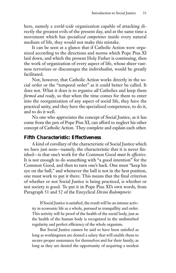here, namely a *world-wide* organization capable of attacking directly the greatest evils of the present day, and at the same time a movement which has *specialized competence* inside every natural medium of life, they would not make this mistake.

It can be seen at a glance that if Catholic Action were organized according to the directions and norms which Pope Pius XI laid down, and which the present Holy Father is continuing, then the work of organization of every aspect of life, whose sheer vastness terrorizes or discourages the individualist, would be greatly facilitated.

Not, however, that Catholic Action works directly in the social order or the "temporal order" as it could better be called. It does not. What it does is to *organize all* Catholics and keep them *formed and ready*, so that when the time comes for them to enter into the reorganization of any aspect of social life, they have the practical unity, and they have the specialized competence, to do it, and to do it well.

No one who appreciates the concept of Social Justice, as it has come from the pen of Pope Pius XI, can afford to neglect his other concept of Catholic Action. They complete and explain each other.

### *Fifth Characteristic: Effectiveness*

A kind of corollary of the characteristic of Social Justice which we have just seen—namely, the characteristic that it is never finished—is that one's work for the Common Good *must be effective*. It is not enough to do something with "a good intention" for the Common Good, and then to turn one's back. One must "keep his eye on the ball," and whenever the ball is not in the best position, one must work to put it there. This means that the final criterion of whether or not Social Justice is being practiced, is whether or not society is good. To put it in Pope Pius XI's own words, from Paragraph 51 and 52 of the Encyclical *Divini Redemptoris*:

If Social Justice is satisfied, the result will be an intense activity in economic life as a whole, pursued in tranquillity and order. This activity will be proof of the health of the social body, just as the health of the human body is recognized in the undisturbed regularity and perfect efficiency of the whole organism.

But Social Justice cannot be said to have been satisfied as long as workingmen are denied a salary that will enable them to secure proper sustenance for themselves and for their family; as long as they are denied the opportunity of acquiring a modest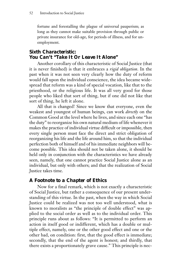fortune and forestalling the plague of universal pauperism; as long as they cannot make suitable provision through public or private insurance for old-age, for periods of illness, and for unemployment.

### *Sixth Characteristic: You Can't "Take It Or Leave It Alone"*

Another corollary of this characteristic of Social Justice (that it is never finished) is that it embraces a *rigid obligation*. In the past when it was not seen very clearly how the duty of reform would fall upon the individual conscience, the idea became widespread that reform was a kind of special vocation, like that to the priesthood, or the religious life. It was all very good for those people who liked that sort of thing, but if one did not like that sort of thing, he left it alone.

All that is changed! Since we know that everyone, even the weakest and youngest of human beings, can work *directly* on the Common Good at the level where he lives, and since each one "has the duty" to reorganize his own natural medium of life whenever it makes the practice of individual virtue difficult or impossible, then every single person must face the direct and strict obligation of reorganizing his life and the life around him, so that the individual perfection both of himself and of his immediate neighbors will become possible. This idea should not be taken alone, it should be held only in conjunction with the characteristics we have already seen, namely, that one cannot practice Social Justice alone as an individual, but only with others; and that the realization of Social Justice takes time.

### *A Footnote to a Chapter of Ethics*

Now for a final remark, which is not exactly a characteristic of Social Justice, but rather a consequence of our present understanding of this virtue. In the past, when the way in which Social Justice could be realized was not too well understood, what is known to moralists as "the principle of double effect" was applied to the social order as well as to the individual order. This principle runs about as follows: "It is permitted to perform an action in itself good or indifferent, which has a double or multiple effect, namely, one or the other good effect and one or the other bad, on condition: first, that the good effect is immediate; secondly, that the end of the agent is honest; and thirdly, that there exists a proportionately grave cause." This principle is nec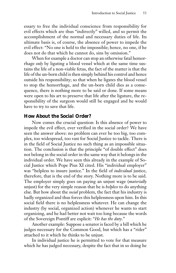essary to free the individual conscience from responsibility for evil effects which are thus "indirectly" willed, and so permit the accomplishment of the normal and necessary duties of life. Its ultimate basis is, of course, the absence of power to impede the evil effect: "No one is held to the impossible; hence, no one, if he does not do that which he cannot do, sins by omission."

When for example a doctor can stop an otherwise fatal hemorrhage *only* by ligating a blood vessel which at the same time sustains the life of a non-viable fetus, the fact of the matter is that the life of the un-born child is then simply behind his control and hence outside his responsibility; so that when he ligates the blood vessel to stop the hemorrhage, and the un-born child dies as a consequence, there is nothing more to be said or done. If some means were open to his art to preserve that life after the ligature, the responsibility of the surgeon would still be engaged and he would have to try to save that life.

### *How About the Social Order?*

Now comes the crucial question: Is this absence of power to impede the evil effect, ever verified in the social order? We have seen the answer above: no problem can ever be too big, too complex, too widespread, too vast for Social Justice to tackle. There is in the field of Social Justice no such thing as an impossible situation. The conclusion is that the principle "of double effect" does not belong in the social order in the same way that it belongs in the individual order. We have seen this already in the example of Social Justice which Pope Pius XI cited. His "individual employer" was "helpless to insure justice." In the field of *individual* justice, therefore, that is the end of the story. Nothing more is to be said. The employer simply goes on paying an unjust wage (*materially* unjust) for the very simple reason that he is *helpless* to do anything else. But how about the *social* problem, the fact that his industry is badly organized and thus forces this helplessness upon him. In this social field there is no helplessness whatever. He can change the industry (by social, organized action) whenever he wants to start organizing, and he had better not wait too long because the words of the Sovereign Pontiff are explicit: "*He has the duty*."

Another example: Suppose a senator is faced by a bill which he judges necessary for the Common Good, but which has a "rider" attached to it which he thinks to be unjust.

In individual justice he is permitted to vote for that measure which he has judged necessary, despite the fact that in so doing he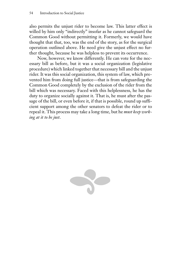also permits the unjust rider to become law. This latter effect is willed by him only "indirectly" insofar as he cannot safeguard the Common Good without permitting it. Formerly, we would have thought that that, too, was the end of the story, as for the surgical operation outlined above. He need give the unjust effect no further thought, because he was helpless to prevent its occurrence.

Now, however, we know differently. He can vote for the necessary bill as before, but it was a social organization (legislative procedure) which linked together that necessary bill and the unjust rider. It was this social organization, this system of law, which prevented him from doing full justice—that is from safeguarding the Common Good completely by the exclusion of the rider from the bill which was necessary. Faced with this helplessness, he has the duty to organize socially against it. That is, he must after the passage of the bill, or even before it, if that is possible, round up sufficient support among the other senators to defeat the rider or to repeal it. This process may take a long time, but he *must keep working at it to be just*.

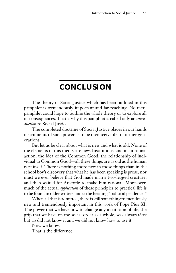# **CONCLUSION**

The theory of Social Justice which has been outlined in this pamphlet is tremendously important and far-reaching. No mere pamphlet could hope to outline the whole theory or to explore all its consequences. That is why this pamphlet is called only an *introduction* to Social Justice.

The completed doctrine of Social Justice places in our hands instruments of such power as to be inconceivable to former generations.

But let us be clear about what is new and what is old. None of the elements of this theory are new. Institutions, and institutional action, the idea of the Common Good, the relationship of individual to Common Good—all these things are as old as the human race itself. There is nothing more new in those things than in the school boy's discovery that what he has been speaking is prose; nor must we ever believe that God made man a two-legged creature, and then waited for Aristotle to make him rational. More-over, much of the actual *application* of these principles to practical life is to be found in older writers under the heading "political prudence."

When all that is admitted, there is still something tremendously new and tremendously important in this work of Pope Pius XI. The power that we have now to change any institution of life, the grip that we have on the social order as a whole, was always *there* but *we* did not know it and we did not know how to use it.

Now we know.

That is the difference.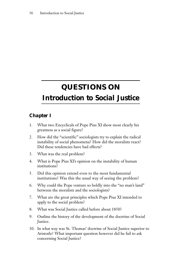# **QUESTIONS ON**

# *Introduction to Social Justice*

# *Chapter I*

- 1. What two Encyclicals of Pope Pius XI show most clearly his greatness as a social figure?
- 2. How did the "scientific" sociologists try to explain the radical instability of social phenomena? How did the moralists react? Did these tendencies have bad effects?
- 3. What was the real problem?
- 4. What is Pope Pius XI's opinion on the instability of human institutions?
- 5. Did this opinion extend even to the most fundamental institutions? Was this the usual way of seeing the problem?
- 6. Why could the Pope venture so boldly into the "no man's land" between the moralists and the sociologists?
- 7. What are the great principles which Pope Pius XI intended to apply to the social problem?
- 8. What was Social Justice called before about 1850?
- 9. Outline the history of the development of the doctrine of Social Justice.
- 10. In what way was St. Thomas' doctrine of Social Justice superior to Aristotle? What important question however did he fail to ask concerning Social Justice?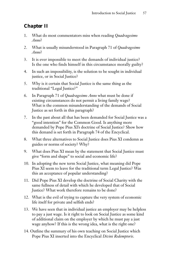# *Chapter II*

- 1. What do most commentators miss when reading *Quadragesimo Anno*?
- 2. What is usually misunderstood in Paragraph 71 of *Quadragesimo Anno*?
- 3. It is ever impossible to meet the demands of individual justice? Is the one who finds himself in this circumstance morally guilty?
- 4. In such an impossibility, is the solution to be sought in individual justice, or in Social Justice?
- 5. Why is it certain that Social Justice is the same thing as the traditional "Legal Justice?"
- 6. In Paragraph 71 of *Quadragesimo Anno* what must be done if existing circumstances do not permit a living family wage? What is the common misunderstanding of the demands of Social Justice as set forth in this paragraph?
- 7. In the past about all that has been demanded for Social Justice was a "good intention" for the Common Good. Is anything more demanded by Pope Pius XI's doctrine of Social Justice? Show how this demand is set forth in Paragraph 74 of the Encyclical.
- 8. What three alternatives to Social Justice does Pius XI condemn as guides or norms of society? Why?
- 9. What does Pius XI mean by the statement that Social Justice must give "form and shape" to social and economic life?
- 10. In adopting the new term Social Justice, what meaning did Pope Pius XI seem to leave for the traditional term Legal Justice? Was this an acceptance of popular understanding?
- 11. Did Pope Pius XI develop the doctrine of Social Charity with the same fullness of detail with which he developed that of Social Justice? What work therefore remains to be done?
- 12. What is the evil of trying to capture the very system of economic life itself for private and selfish ends?
- 13. We have seen that in individual justice an employer may be helpless to pay a just wage. Is it right to look on Social Justice as some kind of additional claim on the employer by which he must pay a just wage anyhow? If this is the wrong idea, what is the right one?
- 14. Outline the summary of his own teaching on Social Justice which Pope Pius XI inserted into the Encyclical *Divini Redemptoris*.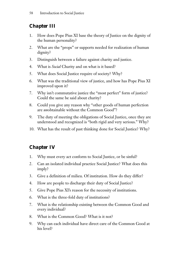# *Chapter III*

- 1. How does Pope Pius XI base the theory of Justice on the dignity of the human personality?
- 2. What are the "props" or supports needed for realization of human dignity?
- 3. Distinguish between a failure against charity and justice.
- 4. What is *Social* Charity and on what is it based?
- 5. What does Social Justice require of society? Why?
- 6. What was the traditional view of justice, and how has Pope Pius XI improved upon it?
- 7. Why isn't commutative justice the "most perfect" form of justice? Could the same be said about charity?
- 8. Could you give any reason why "other goods of human perfection are *un*obtainable without the Common Good"?
- 9. The duty of meeting the obligations of Social Justice, once they are understood and recognized is "both rigid and very serious." Why?
- 10. What has the result of past thinking done for Social Justice? Why?

# *Chapter IV*

- 1. Why must every act conform to Social Justice, or be sinful?
- 2. Can an isolated individual practice Social Justice? What does this imply?
- 3. Give a definition of milieu. Of institution. How do they differ?
- 4. How are people to discharge their duty of Social Justice?
- 5. Give Pope Pius XI's reason for the necessity of institutions.
- 6. What is the three-fold duty of institutions?
- 7. What is the relationship existing between the Common Good and every individual?
- 8. What is the Common Good? What is it not?
- 9. Why can each individual have direct care of the Common Good at his level?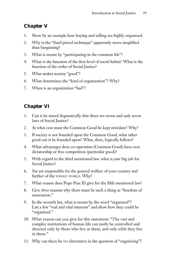# *Chapter V*

- 1. Show by an example how buying and selling are highly organized.
- 2. Why is the "fixed priced technique" apparently more simplified than bargaining?
- 3. What is meant by "participating in the common life"?
- 4. What is the function of the first level of social habits? What is the function of the order of Social Justice?
- 5. What makes society "good"?
- 6. What determines the "kind of organization"? Why?
- 7. When is an organization "bad"?

# *Chapter VI*

- 1. Can it be stated dogmatically that there are seven and only seven laws of Social Justice?
- 2. At what cost must the Common Good be kept inviolate? Why?
- 3. If society is not founded upon the Common Good, what other good can it be founded upon? What, then, logically follows?
- 4. What advantages does co-operation (Common Good) have over dictatorship or free competition (particular good)?
- 5. With regard to the third mentioned law, what is *your* big job for Social Justice?
- 6. *You* are responsible for the general welfare of your country and further of the WHOLE WORLD. Why?
- 7. What reason does Pope Pius XI give for the fifth mentioned law?
- 8. Give *three* reasons why there must be such a thing as "freedom of association."
- 9. In the seventh law, what is meant by the word "organized"? List a few "real and vital interests" and show how they could be "organized."
- 10. What reason can you give for this statement: "The vast and complex institutions of human life can justly be controlled and directed only by those who live *in* them, and only *while* they live in them."
- 11. Why can there be NO alternative in the question of "organizing"?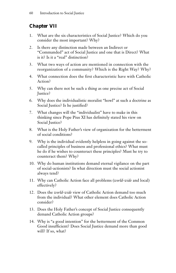# *Chapter VII*

- 1. What are the six characteristics of Social Justice? Which do you consider the most important? Why?
- 2. Is there any distinction made between an Indirect or "Commanded" act of Social Justice and one that is Direct? What is it? Is it a "real" distinction?
- 3. What two ways of action are mentioned in connection with the reorganization of a community? Which is the Right Way? Why?
- 4. What connection does the first characteristic have with Catholic Action?
- 5. Why can there not be such a thing as one precise act of Social Justice?
- 6. Why does the individualistic moralist "howl" at such a doctrine as Social Justice? Is he justified?
- 7. What changes will the "individualist" have to make in this thinking since Pope Pius XI has definitely stated his view on Social Justice?
- 8. What is the Holy Father's view of organization for the betterment of social conditions?
- 9. Why is the individual evidently helpless in going against the socalled principles of business and professional ethics? What must he do if he wishes to counteract these principles? Must he try to counteract them? Why?
- 10. Why do human institutions demand eternal vigilance on the part of social-actionists? In what direction must the social actionist always tend?
- 11. Why can Catholic Action face all problems (*world-wide* and local) effectively?
- 12. Does the *world-wide* view of Catholic Action demand too much from the individual? What other element does Catholic Action consider?
- 13. Does the Holy Father's concept of Social Justice consequently demand Catholic Action groups?
- 14. Why is "a good intention" for the betterment of the Common Good insufficient? Does Social Justice demand more than good will? If so, what?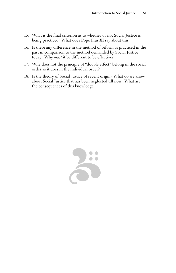- 15. What is the final criterion as to whether or not Social Justice is being practiced? What does Pope Pius XI say about this?
- 16. Is there any difference in the method of reform as practiced in the past in comparison to the method demanded by Social Justice today? Why *must* it be different to be effective?
- 17. Why does not the principle of "double effect" belong in the social order as it does in the individual order?
- 18. Is the theory of Social Justice of recent origin? What do we know about Social Justice that has been neglected till now? What are the consequences of this knowledge?

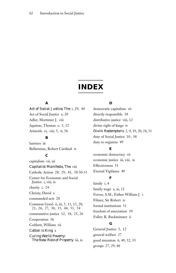# **INDEX**

## **A**

*Act of Social Justice, The* i, 29, 44 Act of Social Justice x, 20 Adler, Mortimer J. viii Aquinas, Thomas v, 5, 12 Aristotle vi, viii, 5, 6, 56

### **B**

barriers iii Bellarmine, Robert Cardinal iv

# **C**

capitalism vii, xii *Capitalist Manifesto, The* viii Catholic Action 28, 29, 41, 50 50-51 Center for Economic and Social Justice i, viii, ix charity i, 24 Christy, David x commanded acts 20 Common Good ii, iii, 5, 11, 15, 20, 21, 26, 27, 30, 35, 44, 51, 54 commutative justice 12, 18, 25, 26 Cooperation 36 Cobbett, William vii *Cotton is King* x *Curing World Poverty: The New Role of Property* iii, ix

#### **D**

democratic capitalism vii directly responsible 38 distributive justice viii, 12 divine right of kings iv *Divini Redemptoris* 2, 9, 19, 20, 24, 51 duty of Social Justice 10 , 58 duty to organize 49

## **E**

economic democracy vii economic justice iii, viii, ix Effectiveness 51 Eternal Vigilance 49

### **F**

family i, 4 family wage x, xi, 12 Ferree, S.M., Father William J. i Filmer, Sir Robert iv formal institutions 31 freedom of association 39 Fuller, R. Buckminster ii

## **G**

General Justice 5, 12 general welfare 27 good intention 6, 49, 52, 55 groups 27, 29, 46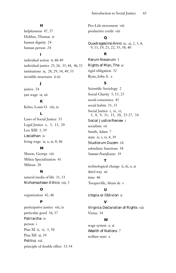#### **H**

helplessness 47, 57 Hobbes, Thomas iv human dignity 24 human person 24

# **I**

individual action 4, 48-49 individual justice 25, 26, 35, 44, 46, 53 institutions ix, 28, 29, 34, 49, 55 invisible structures ii-iii

# **J**

justice 24 just wage ix, xii

#### **K**

Kelso, Louis O. viii, ix

## **L**

Laws of Social Justice 35 Legal Justice v, 5, 11, 20 Leo XIII 3, 39 *Leviathan* iv living wage ix, x, xi, 8, 46

## **M**

Mason, George viii Milieu Specialization 41 Milieux 28

#### **N**

natural media of life 31, 33 *Nichomachean Ethics* viii, 5

# **O**

organization 42, 46

# **P**

participative justice viii, ix particular good 36, 37 *Patriarcha* iv person i Pius XI ii, vi, 3, 50 Pius XII xi, 39 *Politics* viii principle of double effect 52-54 Pro-Life movement viii productive credit viii

# **Q**

*Quadragesimo Anno* ix, xi, 2, 3, 8, 9, 11, 19, 21, 22, 35, 38, 40

#### **R**

*Rerum Novarum* 3 *Rights of Man, The* xi rigid obligation 52 Ryan, John A. x

## **S**

Scientific Sociology 2 Social Charity 5, 15, 25 social conscience 45 social habits 31, 33 Social Justice i, iv, vi, 5, 8, 9, 11, 15, 20, 25-27, 34 *Social Justice Review* i socialism vii Smith, Adam 7 state iv, v, vi, 4, 39 *Studiorum Ducem* 16 subsidiary functions 38 *Summi Pontificatus 39*

#### **T**

technological change ii, iii, x, xi third way xii time 46 Tocqueville, Alexis de v

## **U**

*Utopia or Oblivion* ii

#### **V**

*Virginia Declaration of Rights* viii Virtue 34

## **W**

wage system x, xi *Wealth of Nations* 7 welfare state x